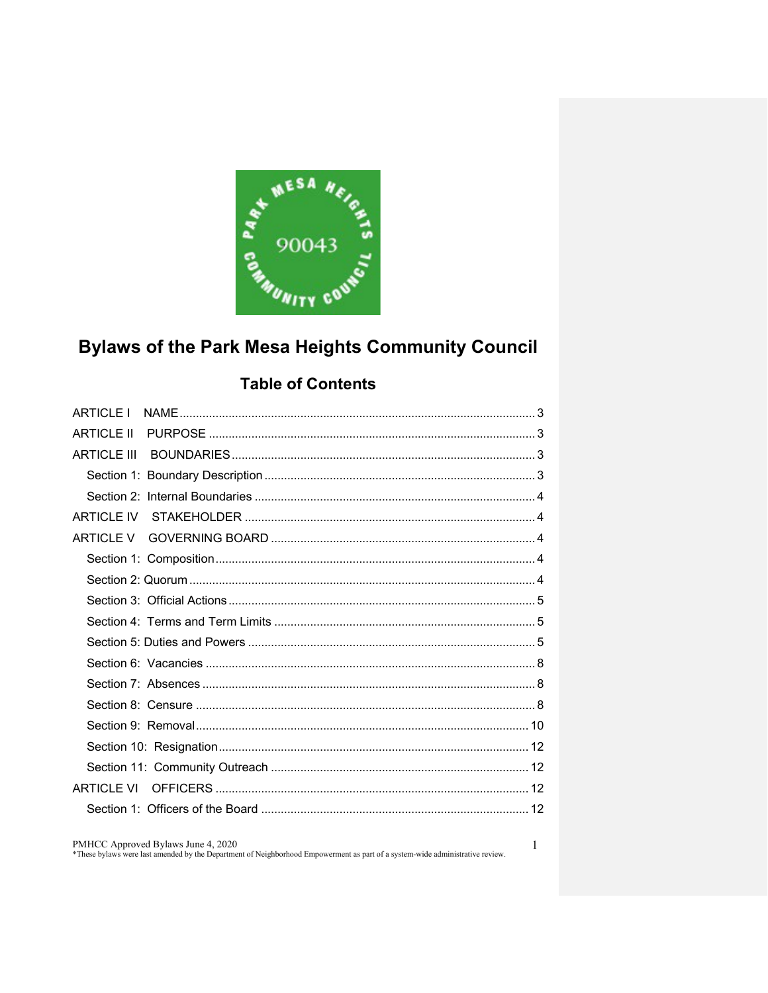

# **Bylaws of the Park Mesa Heights Community Council**

## **Table of Contents**

| <b>ARTICLE I</b>   |  |
|--------------------|--|
| <b>ARTICLE II</b>  |  |
| <b>ARTICLE III</b> |  |
|                    |  |
|                    |  |
| <b>ARTICLE IV</b>  |  |
| ARTICLE V          |  |
|                    |  |
|                    |  |
|                    |  |
|                    |  |
|                    |  |
|                    |  |
|                    |  |
|                    |  |
|                    |  |
|                    |  |
|                    |  |
| <b>ARTICLE VI</b>  |  |
|                    |  |
|                    |  |

PMHCC Approved Bylaws June 4, 2020

\*These bylaws were last amended by the Department of Neighborhood Empowerment as part of a system-wide administrative review.

 $\mathbf{1}$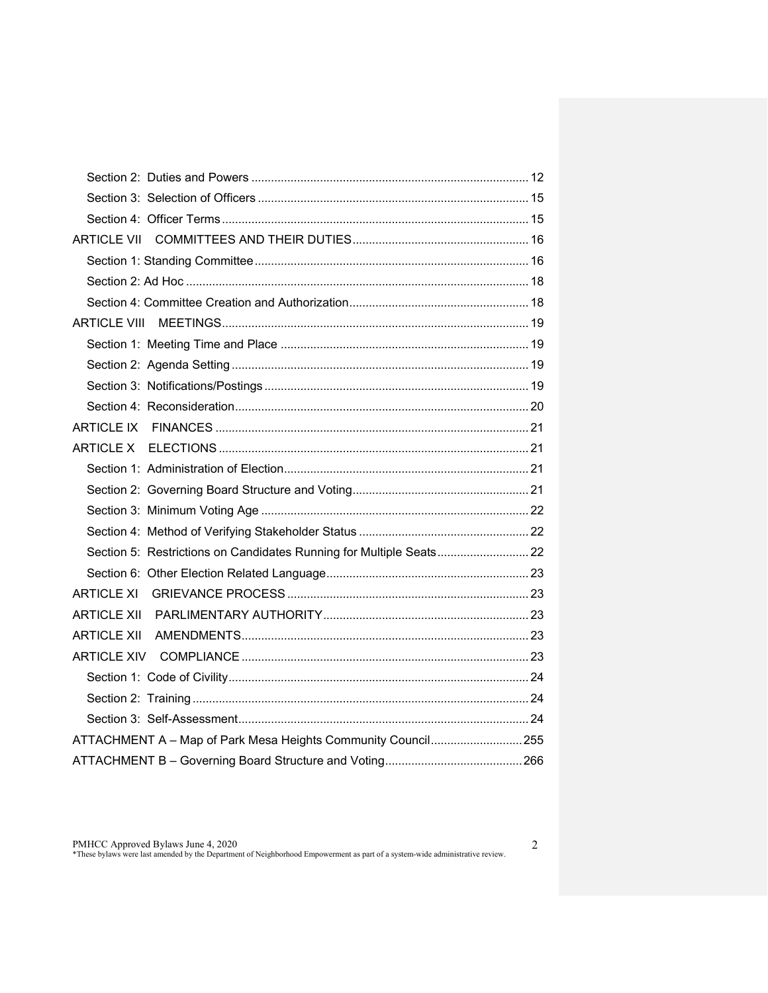| Section 5: Restrictions on Candidates Running for Multiple Seats 22 |  |  |  |  |
|---------------------------------------------------------------------|--|--|--|--|
|                                                                     |  |  |  |  |
| <b>ARTICLE XI</b>                                                   |  |  |  |  |
|                                                                     |  |  |  |  |
|                                                                     |  |  |  |  |
|                                                                     |  |  |  |  |
|                                                                     |  |  |  |  |
|                                                                     |  |  |  |  |
|                                                                     |  |  |  |  |
| ATTACHMENT A - Map of Park Mesa Heights Community Council 255       |  |  |  |  |
|                                                                     |  |  |  |  |

2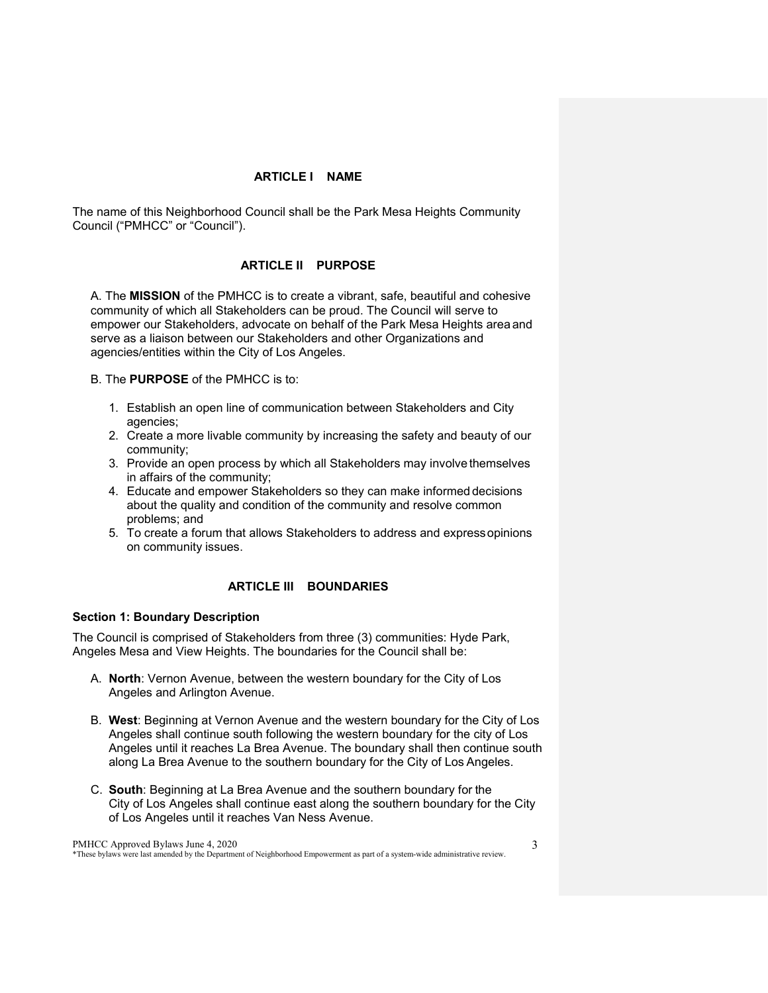### **ARTICLE I NAME**

<span id="page-2-1"></span><span id="page-2-0"></span>The name of this Neighborhood Council shall be the Park Mesa Heights Community Council ("PMHCC" or "Council").

## **ARTICLE II PURPOSE**

A. The **MISSION** of the PMHCC is to create a vibrant, safe, beautiful and cohesive community of which all Stakeholders can be proud. The Council will serve to empower our Stakeholders, advocate on behalf of the Park Mesa Heights areaand serve as a liaison between our Stakeholders and other Organizations and agencies/entities within the City of Los Angeles.

B. The **PURPOSE** of the PMHCC is to:

- 1. Establish an open line of communication between Stakeholders and City agencies;
- 2. Create a more livable community by increasing the safety and beauty of our community;
- 3. Provide an open process by which all Stakeholders may involvethemselves in affairs of the community;
- 4. Educate and empower Stakeholders so they can make informed decisions about the quality and condition of the community and resolve common problems; and
- 5. To create a forum that allows Stakeholders to address and expressopinions on community issues.

## **ARTICLE III BOUNDARIES**

### <span id="page-2-3"></span><span id="page-2-2"></span>**Section 1: Boundary Description**

The Council is comprised of Stakeholders from three (3) communities: Hyde Park, Angeles Mesa and View Heights. The boundaries for the Council shall be:

- A. **North**: Vernon Avenue, between the western boundary for the City of Los Angeles and Arlington Avenue.
- B. **West**: Beginning at Vernon Avenue and the western boundary for the City of Los Angeles shall continue south following the western boundary for the city of Los Angeles until it reaches La Brea Avenue. The boundary shall then continue south along La Brea Avenue to the southern boundary for the City of Los Angeles.
- C. **South**: Beginning at La Brea Avenue and the southern boundary for the City of Los Angeles shall continue east along the southern boundary for the City of Los Angeles until it reaches Van Ness Avenue.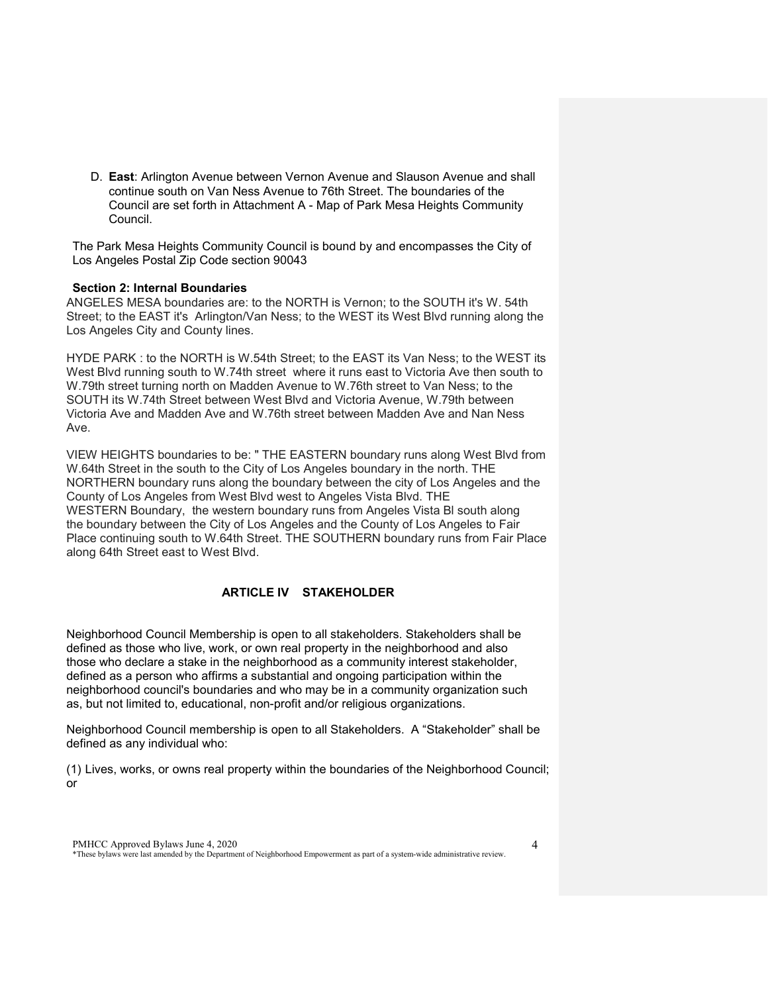D. **East**: Arlington Avenue between Vernon Avenue and Slauson Avenue and shall continue south on Van Ness Avenue to 76th Street. The boundaries of the Council are set forth in Attachment A - Map of Park Mesa Heights Community Council.

The Park Mesa Heights Community Council is bound by and encompasses the City of Los Angeles Postal Zip Code section 90043

#### <span id="page-3-0"></span>**Section 2: Internal Boundaries**

ANGELES MESA boundaries are: to the NORTH is Vernon; to the SOUTH it's W. 54th Street; to the EAST it's Arlington/Van Ness; to the WEST its West Blvd running along the Los Angeles City and County lines.

HYDE PARK : to the NORTH is W.54th Street; to the EAST its Van Ness; to the WEST its West Blvd running south to W.74th street where it runs east to Victoria Ave then south to W.79th street turning north on Madden Avenue to W.76th street to Van Ness; to the SOUTH its W.74th Street between West Blvd and Victoria Avenue, W.79th between Victoria Ave and Madden Ave and W.76th street between Madden Ave and Nan Ness Ave.

VIEW HEIGHTS boundaries to be: " THE EASTERN boundary runs along West Blvd from W.64th Street in the south to the City of Los Angeles boundary in the north. THE NORTHERN boundary runs along the boundary between the city of Los Angeles and the County of Los Angeles from West Blvd west to Angeles Vista Blvd. THE WESTERN Boundary, the western boundary runs from Angeles Vista Bl south along the boundary between the City of Los Angeles and the County of Los Angeles to Fair Place continuing south to W.64th Street. THE SOUTHERN boundary runs from Fair Place along 64th Street east to West Blvd.

## **ARTICLE IV STAKEHOLDER**

<span id="page-3-1"></span>Neighborhood Council Membership is open to all stakeholders. Stakeholders shall be defined as those who live, work, or own real property in the neighborhood and also those who declare a stake in the neighborhood as a community interest stakeholder, defined as a person who affirms a substantial and ongoing participation within the neighborhood council's boundaries and who may be in a community organization such as, but not limited to, educational, non-profit and/or religious organizations.

Neighborhood Council membership is open to all Stakeholders. A "Stakeholder" shall be defined as any individual who:

(1) Lives, works, or owns real property within the boundaries of the Neighborhood Council; or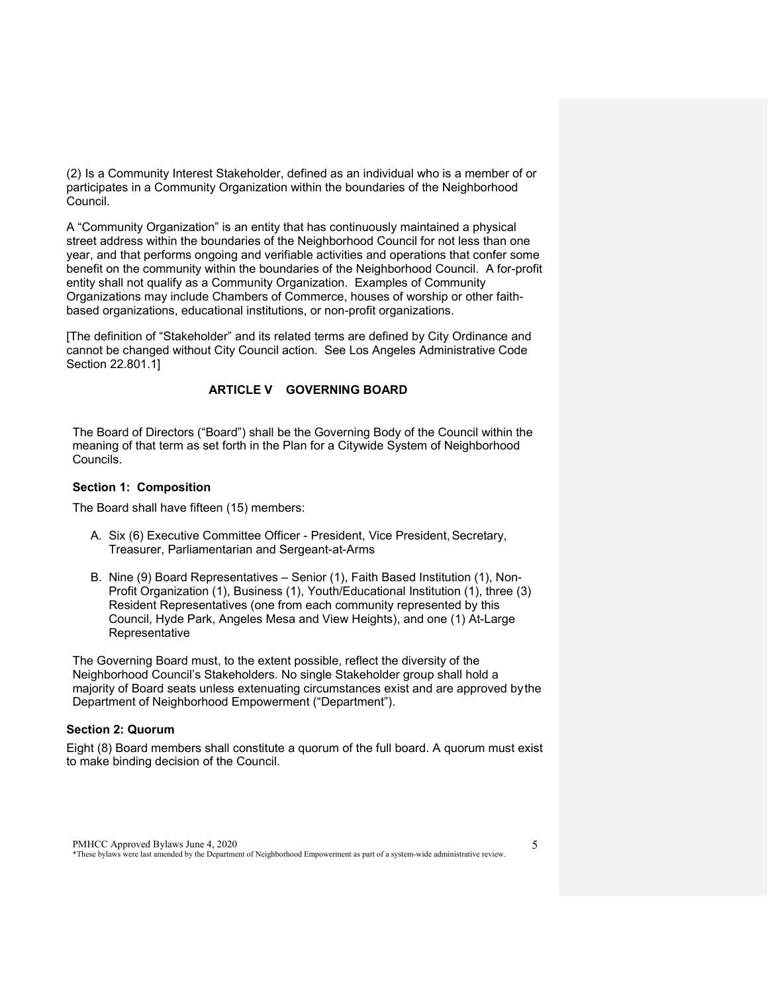(2) Is a Community Interest Stakeholder, defined as an individual who is a member of or participates in a Community Organization within the boundaries of the Neighborhood Council.

A "Community Organization" is an entity that has continuously maintained a physical street address within the boundaries of the Neighborhood Council for not less than one year, and that performs ongoing and verifiable activities and operations that confer some benefit on the community within the boundaries of the Neighborhood Council. A for-profit entity shall not qualify as a Community Organization. Examples of Community Organizations may include Chambers of Commerce, houses of worship or other faithbased organizations, educational institutions, or non-profit organizations.

[The definition of "Stakeholder" and its related terms are defined by City Ordinance and cannot be changed without City Council action. See Los Angeles Administrative Code Section 22.801.1]

## **ARTICLE V GOVERNING BOARD**

<span id="page-4-0"></span>The Board of Directors ("Board") shall be the Governing Body of the Council within the meaning of that term as set forth in the Plan for a Citywide System of Neighborhood Councils.

#### <span id="page-4-1"></span>**Section 1: Composition**

The Board shall have fifteen (15) members:

- A. Six (6) Executive Committee Officer President, Vice President, Secretary, Treasurer, Parliamentarian and Sergeant-at-Arms
- B. Nine (9) Board Representatives Senior (1), Faith Based Institution (1), Non-Profit Organization (1), Business (1), Youth/Educational Institution (1), three (3) Resident Representatives (one from each community represented by this Council, Hyde Park, Angeles Mesa and View Heights), and one (1) At-Large Representative

The Governing Board must, to the extent possible, reflect the diversity of the Neighborhood Council's Stakeholders. No single Stakeholder group shall hold a majority of Board seats unless extenuating circumstances exist and are approved bythe Department of Neighborhood Empowerment ("Department").

#### <span id="page-4-2"></span>**Section 2: Quorum**

Eight (8) Board members shall constitute a quorum of the full board. A quorum must exist to make binding decision of the Council.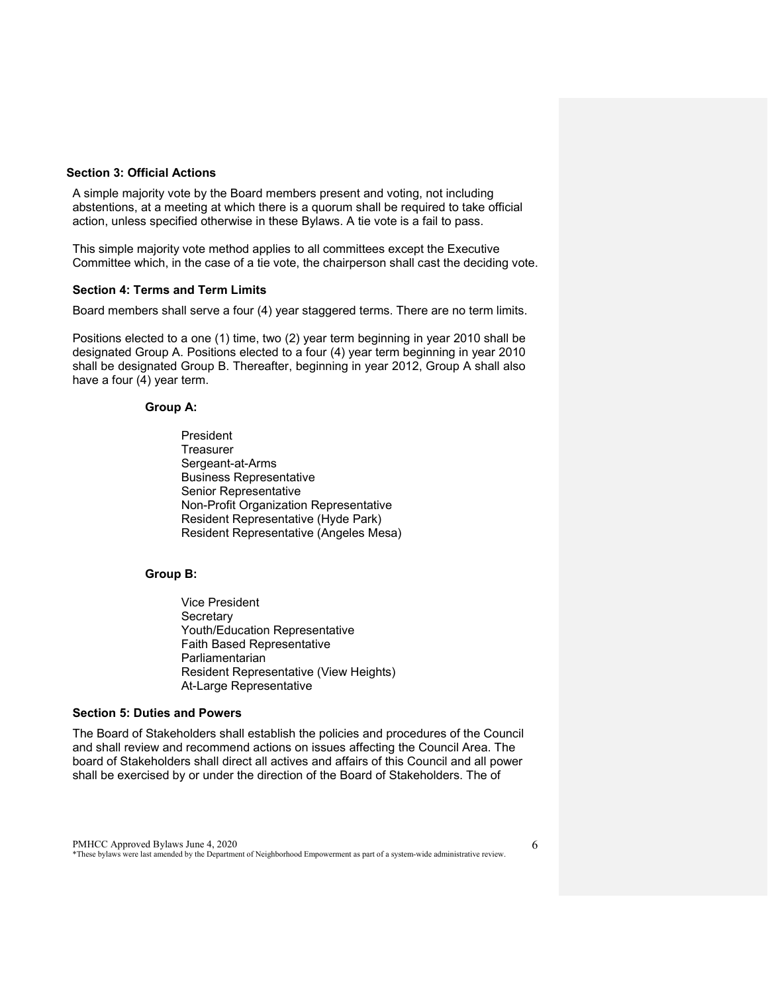#### <span id="page-5-0"></span>**Section 3: Official Actions**

A simple majority vote by the Board members present and voting, not including abstentions, at a meeting at which there is a quorum shall be required to take official action, unless specified otherwise in these Bylaws. A tie vote is a fail to pass.

This simple majority vote method applies to all committees except the Executive Committee which, in the case of a tie vote, the chairperson shall cast the deciding vote.

#### <span id="page-5-1"></span>**Section 4: Terms and Term Limits**

Board members shall serve a four (4) year staggered terms. There are no term limits.

Positions elected to a one (1) time, two (2) year term beginning in year 2010 shall be designated Group A. Positions elected to a four (4) year term beginning in year 2010 shall be designated Group B. Thereafter, beginning in year 2012, Group A shall also have a four (4) year term.

#### **Group A:**

President **Treasurer** Sergeant-at-Arms Business Representative Senior Representative Non-Profit Organization Representative Resident Representative (Hyde Park) Resident Representative (Angeles Mesa)

#### **Group B:**

Vice President **Secretary** Youth/Education Representative Faith Based Representative Parliamentarian Resident Representative (View Heights) At-Large Representative

#### <span id="page-5-2"></span>**Section 5: Duties and Powers**

The Board of Stakeholders shall establish the policies and procedures of the Council and shall review and recommend actions on issues affecting the Council Area. The board of Stakeholders shall direct all actives and affairs of this Council and all power shall be exercised by or under the direction of the Board of Stakeholders. The of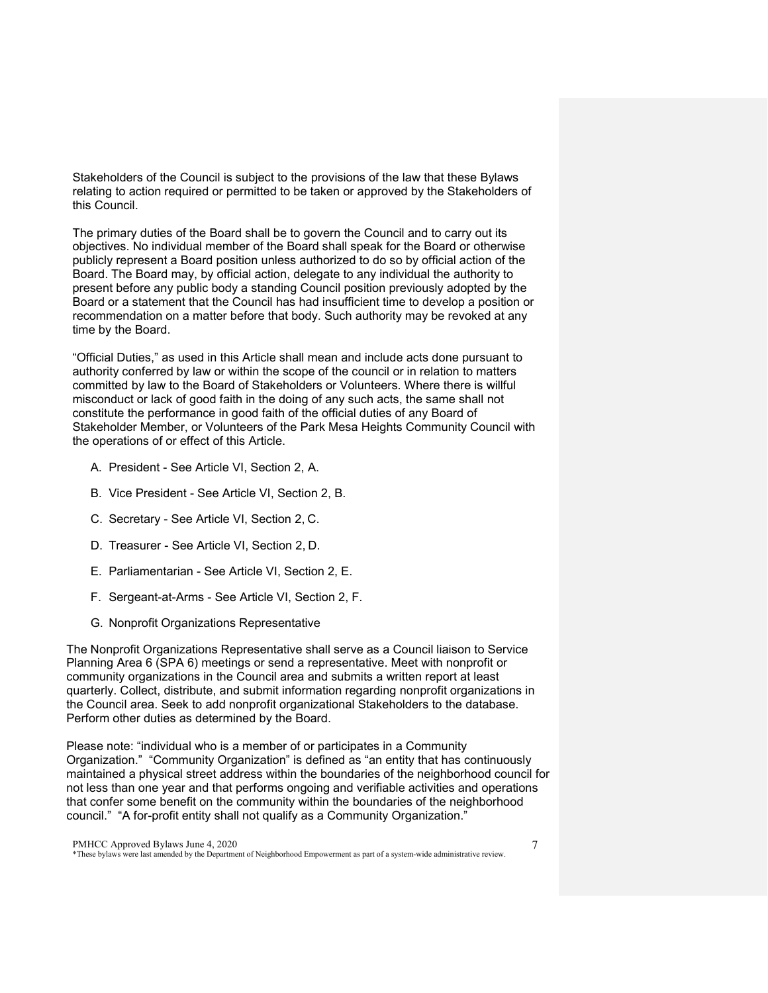Stakeholders of the Council is subject to the provisions of the law that these Bylaws relating to action required or permitted to be taken or approved by the Stakeholders of this Council.

The primary duties of the Board shall be to govern the Council and to carry out its objectives. No individual member of the Board shall speak for the Board or otherwise publicly represent a Board position unless authorized to do so by official action of the Board. The Board may, by official action, delegate to any individual the authority to present before any public body a standing Council position previously adopted by the Board or a statement that the Council has had insufficient time to develop a position or recommendation on a matter before that body. Such authority may be revoked at any time by the Board.

"Official Duties," as used in this Article shall mean and include acts done pursuant to authority conferred by law or within the scope of the council or in relation to matters committed by law to the Board of Stakeholders or Volunteers. Where there is willful misconduct or lack of good faith in the doing of any such acts, the same shall not constitute the performance in good faith of the official duties of any Board of Stakeholder Member, or Volunteers of the Park Mesa Heights Community Council with the operations of or effect of this Article.

- A. President See Article VI, Section 2, A.
- B. Vice President See Article VI, Section 2, B.
- C. Secretary See Article VI, Section 2, C.
- D. Treasurer See Article VI, Section 2, D.
- E. Parliamentarian See Article VI, Section 2, E.
- F. Sergeant-at-Arms See Article VI, Section 2, F.
- G. Nonprofit Organizations Representative

The Nonprofit Organizations Representative shall serve as a Council liaison to Service Planning Area 6 (SPA 6) meetings or send a representative. Meet with nonprofit or community organizations in the Council area and submits a written report at least quarterly. Collect, distribute, and submit information regarding nonprofit organizations in the Council area. Seek to add nonprofit organizational Stakeholders to the database. Perform other duties as determined by the Board.

Please note: "individual who is a member of or participates in a Community Organization." "Community Organization" is defined as "an entity that has continuously maintained a physical street address within the boundaries of the neighborhood council for not less than one year and that performs ongoing and verifiable activities and operations that confer some benefit on the community within the boundaries of the neighborhood council." "A for-profit entity shall not qualify as a Community Organization."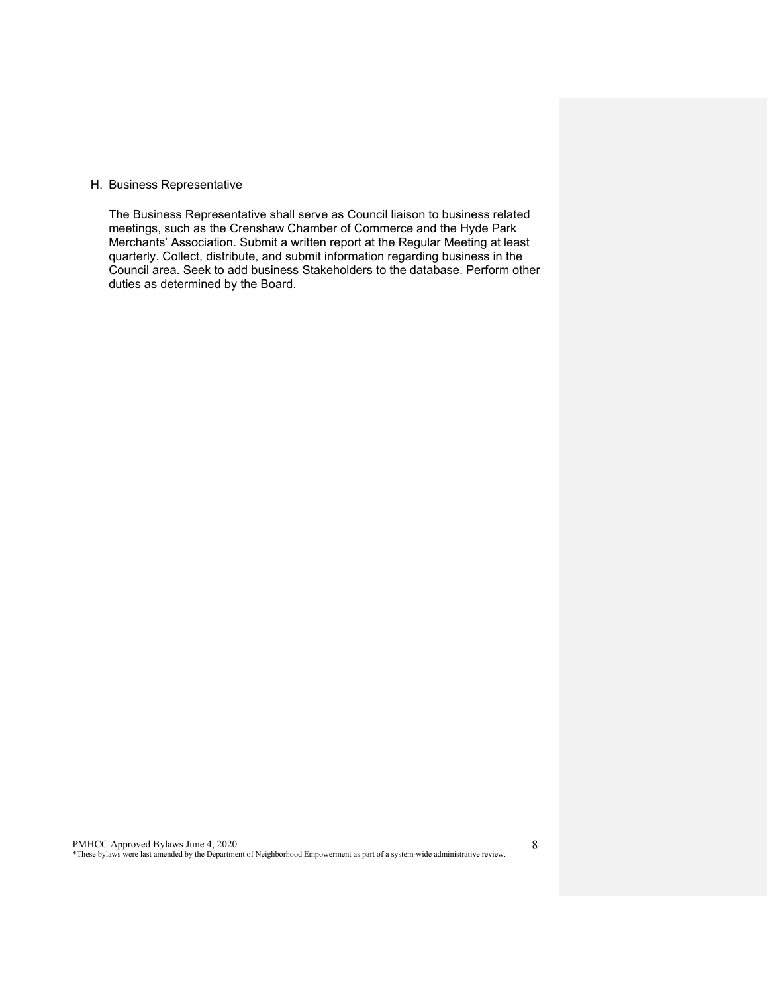#### H. Business Representative

The Business Representative shall serve as Council liaison to business related meetings, such as the Crenshaw Chamber of Commerce and the Hyde Park Merchants' Association. Submit a written report at the Regular Meeting at least quarterly. Collect, distribute, and submit information regarding business in the Council area. Seek to add business Stakeholders to the database. Perform other duties as determined by the Board.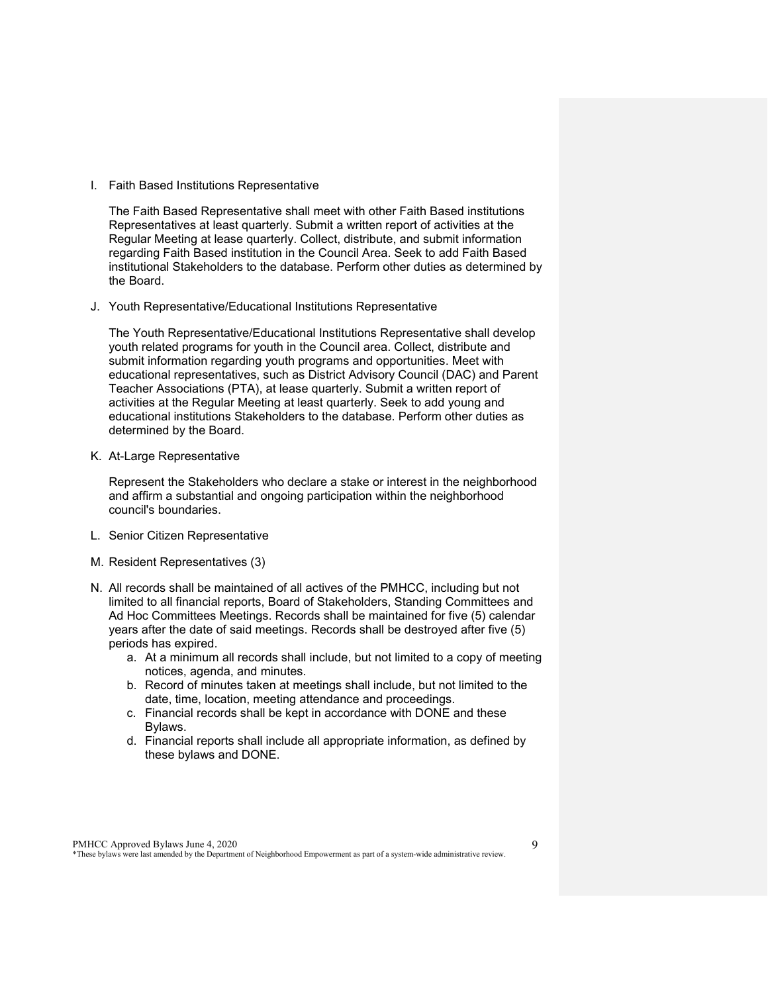I. Faith Based Institutions Representative

The Faith Based Representative shall meet with other Faith Based institutions Representatives at least quarterly. Submit a written report of activities at the Regular Meeting at lease quarterly. Collect, distribute, and submit information regarding Faith Based institution in the Council Area. Seek to add Faith Based institutional Stakeholders to the database. Perform other duties as determined by the Board.

J. Youth Representative/Educational Institutions Representative

The Youth Representative/Educational Institutions Representative shall develop youth related programs for youth in the Council area. Collect, distribute and submit information regarding youth programs and opportunities. Meet with educational representatives, such as District Advisory Council (DAC) and Parent Teacher Associations (PTA), at lease quarterly. Submit a written report of activities at the Regular Meeting at least quarterly. Seek to add young and educational institutions Stakeholders to the database. Perform other duties as determined by the Board.

K. At-Large Representative

Represent the Stakeholders who declare a stake or interest in the neighborhood and affirm a substantial and ongoing participation within the neighborhood council's boundaries.

- L. Senior Citizen Representative
- M. Resident Representatives (3)
- N. All records shall be maintained of all actives of the PMHCC, including but not limited to all financial reports, Board of Stakeholders, Standing Committees and Ad Hoc Committees Meetings. Records shall be maintained for five (5) calendar years after the date of said meetings. Records shall be destroyed after five (5) periods has expired.
	- a. At a minimum all records shall include, but not limited to a copy of meeting notices, agenda, and minutes.
	- b. Record of minutes taken at meetings shall include, but not limited to the date, time, location, meeting attendance and proceedings.
	- c. Financial records shall be kept in accordance with DONE and these Bylaws.
	- d. Financial reports shall include all appropriate information, as defined by these bylaws and DONE.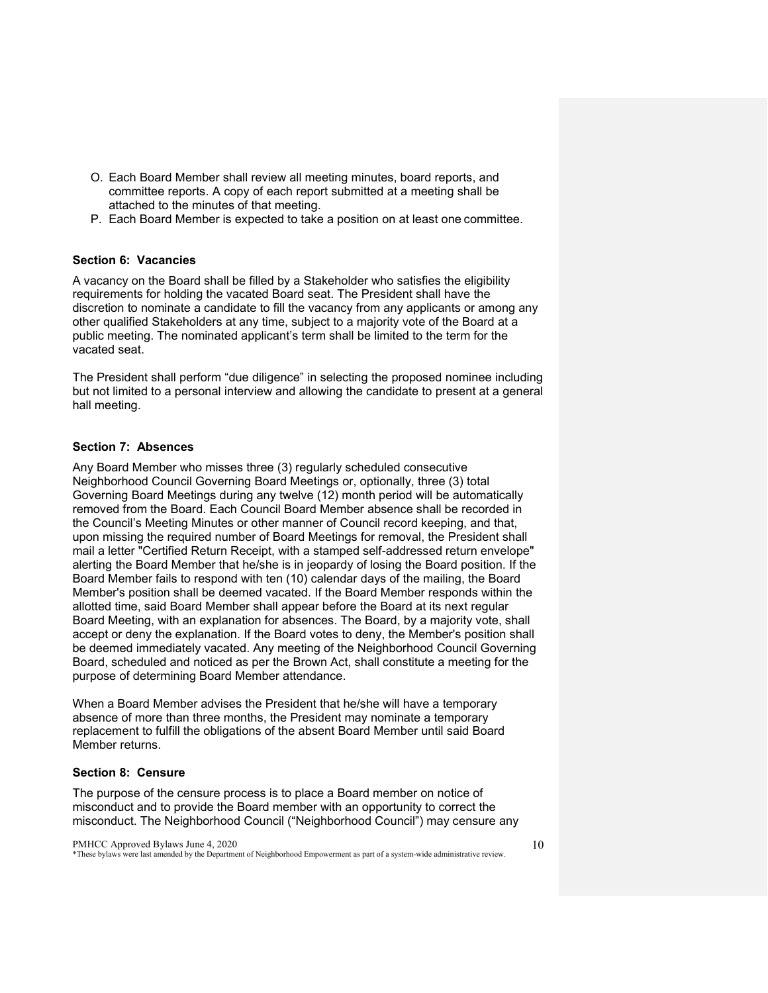- O. Each Board Member shall review all meeting minutes, board reports, and committee reports. A copy of each report submitted at a meeting shall be attached to the minutes of that meeting.
- P. Each Board Member is expected to take a position on at least one committee.

#### <span id="page-9-0"></span>**Section 6: Vacancies**

A vacancy on the Board shall be filled by a Stakeholder who satisfies the eligibility requirements for holding the vacated Board seat. The President shall have the discretion to nominate a candidate to fill the vacancy from any applicants or among any other qualified Stakeholders at any time, subject to a majority vote of the Board at a public meeting. The nominated applicant's term shall be limited to the term for the vacated seat.

The President shall perform "due diligence" in selecting the proposed nominee including but not limited to a personal interview and allowing the candidate to present at a general hall meeting.

#### <span id="page-9-1"></span>**Section 7: Absences**

Any Board Member who misses three (3) regularly scheduled consecutive Neighborhood Council Governing Board Meetings or, optionally, three (3) total Governing Board Meetings during any twelve (12) month period will be automatically removed from the Board. Each Council Board Member absence shall be recorded in the Council's Meeting Minutes or other manner of Council record keeping, and that, upon missing the required number of Board Meetings for removal, the President shall mail a letter "Certified Return Receipt, with a stamped self-addressed return envelope" alerting the Board Member that he/she is in jeopardy of losing the Board position. If the Board Member fails to respond with ten (10) calendar days of the mailing, the Board Member's position shall be deemed vacated. If the Board Member responds within the allotted time, said Board Member shall appear before the Board at its next regular Board Meeting, with an explanation for absences. The Board, by a majority vote, shall accept or deny the explanation. If the Board votes to deny, the Member's position shall be deemed immediately vacated. Any meeting of the Neighborhood Council Governing Board, scheduled and noticed as per the Brown Act, shall constitute a meeting for the purpose of determining Board Member attendance.

When a Board Member advises the President that he/she will have a temporary absence of more than three months, the President may nominate a temporary replacement to fulfill the obligations of the absent Board Member until said Board Member returns.

#### <span id="page-9-2"></span>**Section 8: Censure**

The purpose of the censure process is to place a Board member on notice of misconduct and to provide the Board member with an opportunity to correct the misconduct. The Neighborhood Council ("Neighborhood Council") may censure any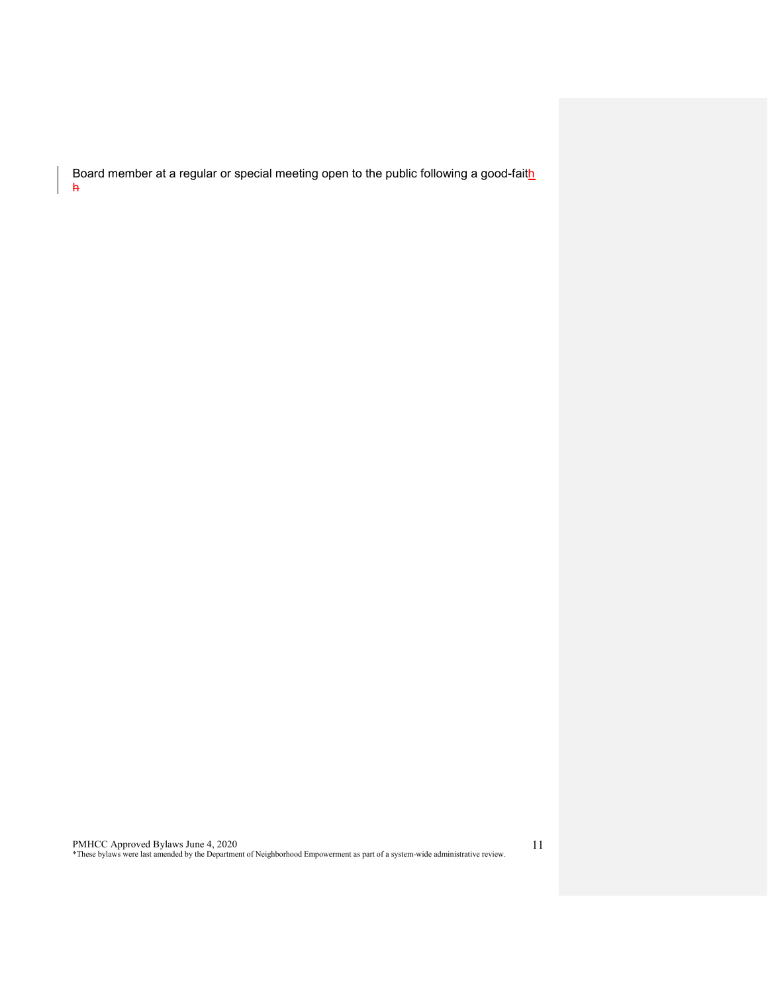Board member at a regular or special meeting open to the public following a good-faith h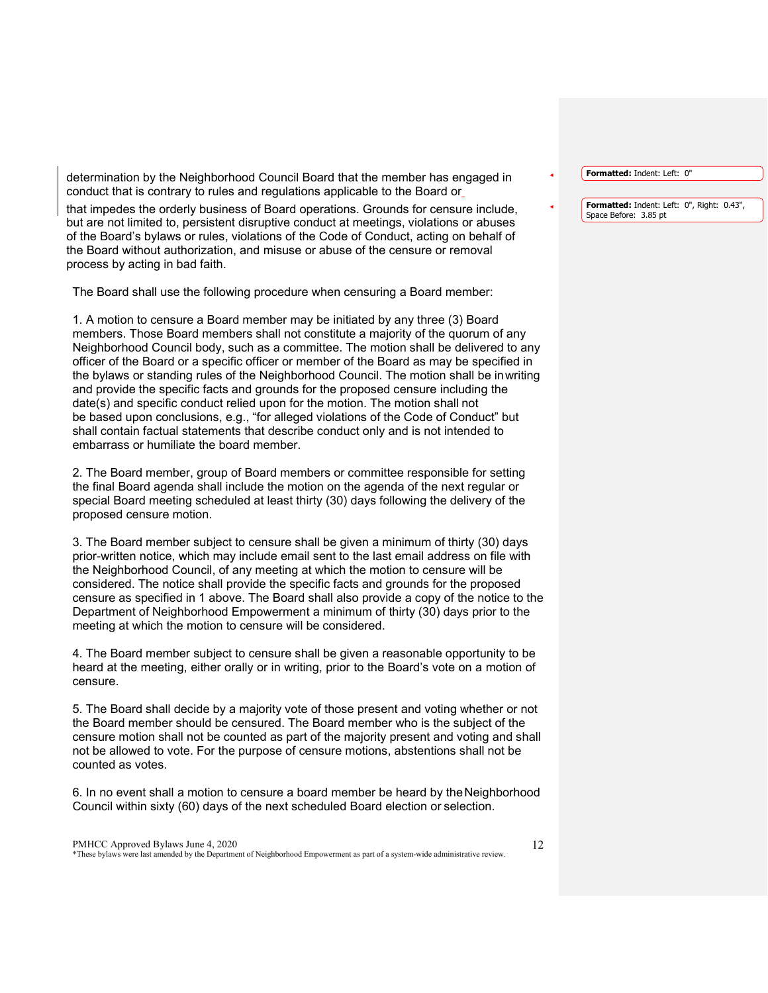determination by the Neighborhood Council Board that the member has engaged in conduct that is contrary to rules and regulations applicable to the Board or

that impedes the orderly business of Board operations. Grounds for censure include, but are not limited to, persistent disruptive conduct at meetings, violations or abuses of the Board's bylaws or rules, violations of the Code of Conduct, acting on behalf of the Board without authorization, and misuse or abuse of the censure or removal process by acting in bad faith.

The Board shall use the following procedure when censuring a Board member:

1. A motion to censure a Board member may be initiated by any three (3) Board members. Those Board members shall not constitute a majority of the quorum of any Neighborhood Council body, such as a committee. The motion shall be delivered to any officer of the Board or a specific officer or member of the Board as may be specified in the bylaws or standing rules of the Neighborhood Council. The motion shall be inwriting and provide the specific facts and grounds for the proposed censure including the date(s) and specific conduct relied upon for the motion. The motion shall not be based upon conclusions, e.g., "for alleged violations of the Code of Conduct" but shall contain factual statements that describe conduct only and is not intended to embarrass or humiliate the board member.

2. The Board member, group of Board members or committee responsible for setting the final Board agenda shall include the motion on the agenda of the next regular or special Board meeting scheduled at least thirty (30) days following the delivery of the proposed censure motion.

3. The Board member subject to censure shall be given a minimum of thirty (30) days prior-written notice, which may include email sent to the last email address on file with the Neighborhood Council, of any meeting at which the motion to censure will be considered. The notice shall provide the specific facts and grounds for the proposed censure as specified in 1 above. The Board shall also provide a copy of the notice to the Department of Neighborhood Empowerment a minimum of thirty (30) days prior to the meeting at which the motion to censure will be considered.

4. The Board member subject to censure shall be given a reasonable opportunity to be heard at the meeting, either orally or in writing, prior to the Board's vote on a motion of censure.

5. The Board shall decide by a majority vote of those present and voting whether or not the Board member should be censured. The Board member who is the subject of the censure motion shall not be counted as part of the majority present and voting and shall not be allowed to vote. For the purpose of censure motions, abstentions shall not be counted as votes.

6. In no event shall a motion to censure a board member be heard by theNeighborhood Council within sixty (60) days of the next scheduled Board election or selection.

#### PMHCC Approved Bylaws June 4, 2020 \*These bylaws were last amended by the Department of Neighborhood Empowerment as part of a system-wide administrative review.

**Formatted:** Indent: Left: 0"

**Formatted:** Indent: Left: 0", Right: 0.43", Space Before: 3.85 pt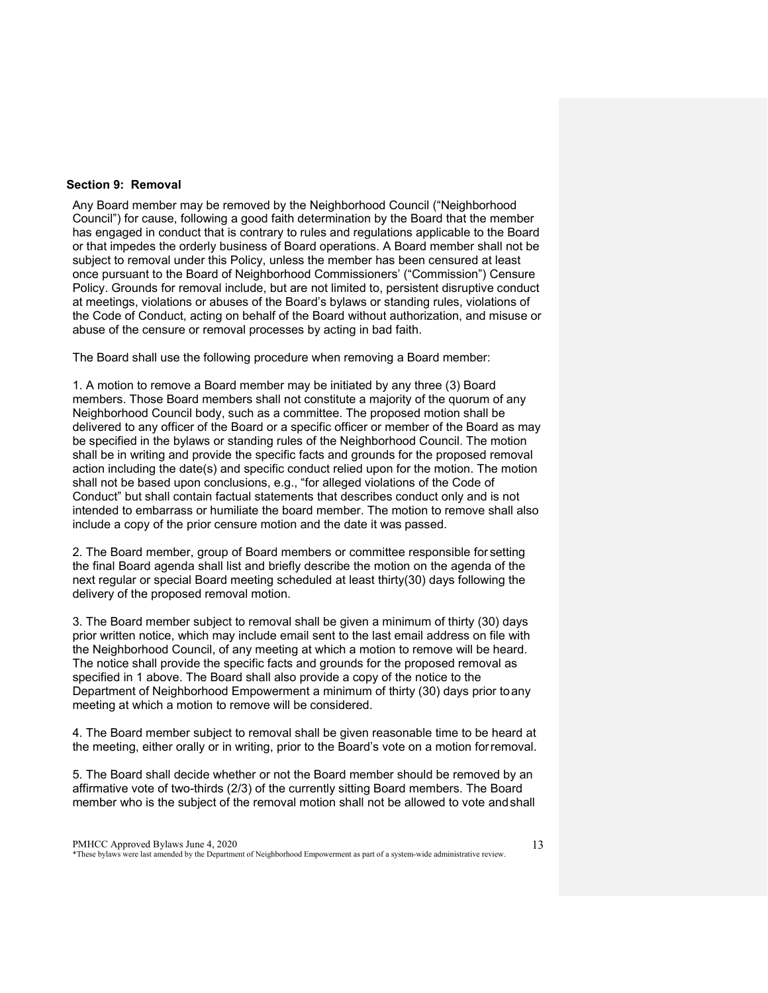#### <span id="page-12-0"></span>**Section 9: Removal**

Any Board member may be removed by the Neighborhood Council ("Neighborhood Council") for cause, following a good faith determination by the Board that the member has engaged in conduct that is contrary to rules and regulations applicable to the Board or that impedes the orderly business of Board operations. A Board member shall not be subject to removal under this Policy, unless the member has been censured at least once pursuant to the Board of Neighborhood Commissioners' ("Commission") Censure Policy. Grounds for removal include, but are not limited to, persistent disruptive conduct at meetings, violations or abuses of the Board's bylaws or standing rules, violations of the Code of Conduct, acting on behalf of the Board without authorization, and misuse or abuse of the censure or removal processes by acting in bad faith.

The Board shall use the following procedure when removing a Board member:

1. A motion to remove a Board member may be initiated by any three (3) Board members. Those Board members shall not constitute a majority of the quorum of any Neighborhood Council body, such as a committee. The proposed motion shall be delivered to any officer of the Board or a specific officer or member of the Board as may be specified in the bylaws or standing rules of the Neighborhood Council. The motion shall be in writing and provide the specific facts and grounds for the proposed removal action including the date(s) and specific conduct relied upon for the motion. The motion shall not be based upon conclusions, e.g., "for alleged violations of the Code of Conduct" but shall contain factual statements that describes conduct only and is not intended to embarrass or humiliate the board member. The motion to remove shall also include a copy of the prior censure motion and the date it was passed.

2. The Board member, group of Board members or committee responsible for setting the final Board agenda shall list and briefly describe the motion on the agenda of the next regular or special Board meeting scheduled at least thirty(30) days following the delivery of the proposed removal motion.

3. The Board member subject to removal shall be given a minimum of thirty (30) days prior written notice, which may include email sent to the last email address on file with the Neighborhood Council, of any meeting at which a motion to remove will be heard. The notice shall provide the specific facts and grounds for the proposed removal as specified in 1 above. The Board shall also provide a copy of the notice to the Department of Neighborhood Empowerment a minimum of thirty (30) days prior toany meeting at which a motion to remove will be considered.

4. The Board member subject to removal shall be given reasonable time to be heard at the meeting, either orally or in writing, prior to the Board's vote on a motion forremoval.

5. The Board shall decide whether or not the Board member should be removed by an affirmative vote of two-thirds (2/3) of the currently sitting Board members. The Board member who is the subject of the removal motion shall not be allowed to vote andshall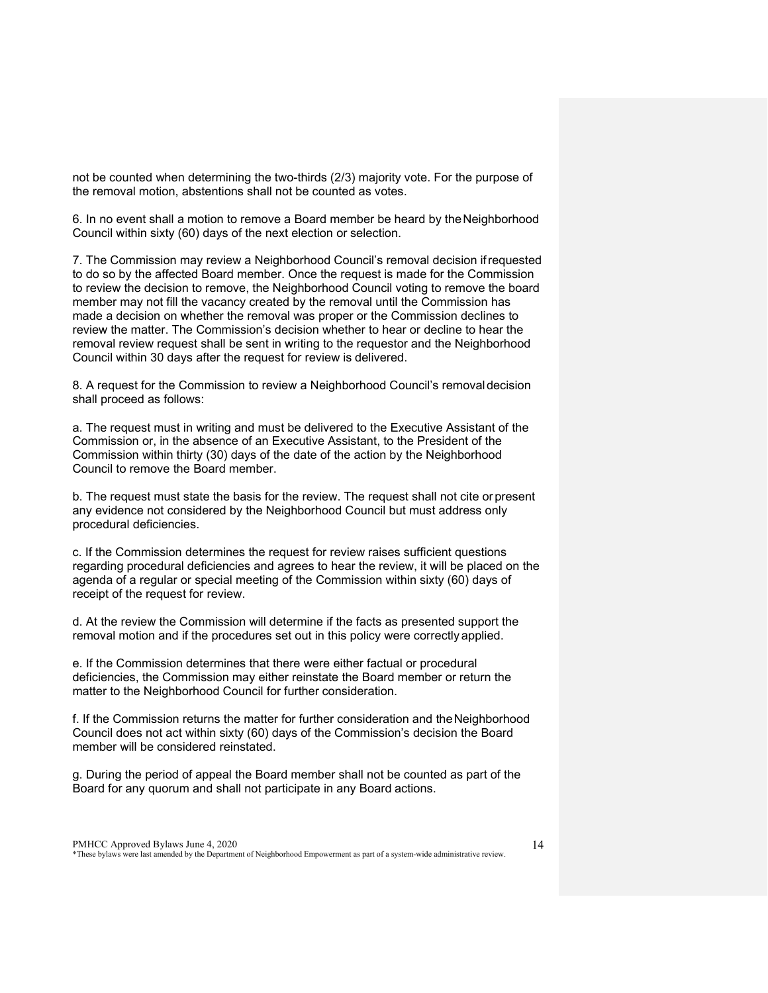not be counted when determining the two-thirds (2/3) majority vote. For the purpose of the removal motion, abstentions shall not be counted as votes.

6. In no event shall a motion to remove a Board member be heard by theNeighborhood Council within sixty (60) days of the next election or selection.

7. The Commission may review a Neighborhood Council's removal decision ifrequested to do so by the affected Board member. Once the request is made for the Commission to review the decision to remove, the Neighborhood Council voting to remove the board member may not fill the vacancy created by the removal until the Commission has made a decision on whether the removal was proper or the Commission declines to review the matter. The Commission's decision whether to hear or decline to hear the removal review request shall be sent in writing to the requestor and the Neighborhood Council within 30 days after the request for review is delivered.

8. A request for the Commission to review a Neighborhood Council's removaldecision shall proceed as follows:

a. The request must in writing and must be delivered to the Executive Assistant of the Commission or, in the absence of an Executive Assistant, to the President of the Commission within thirty (30) days of the date of the action by the Neighborhood Council to remove the Board member.

b. The request must state the basis for the review. The request shall not cite orpresent any evidence not considered by the Neighborhood Council but must address only procedural deficiencies.

c. If the Commission determines the request for review raises sufficient questions regarding procedural deficiencies and agrees to hear the review, it will be placed on the agenda of a regular or special meeting of the Commission within sixty (60) days of receipt of the request for review.

d. At the review the Commission will determine if the facts as presented support the removal motion and if the procedures set out in this policy were correctly applied.

e. If the Commission determines that there were either factual or procedural deficiencies, the Commission may either reinstate the Board member or return the matter to the Neighborhood Council for further consideration.

f. If the Commission returns the matter for further consideration and theNeighborhood Council does not act within sixty (60) days of the Commission's decision the Board member will be considered reinstated.

g. During the period of appeal the Board member shall not be counted as part of the Board for any quorum and shall not participate in any Board actions.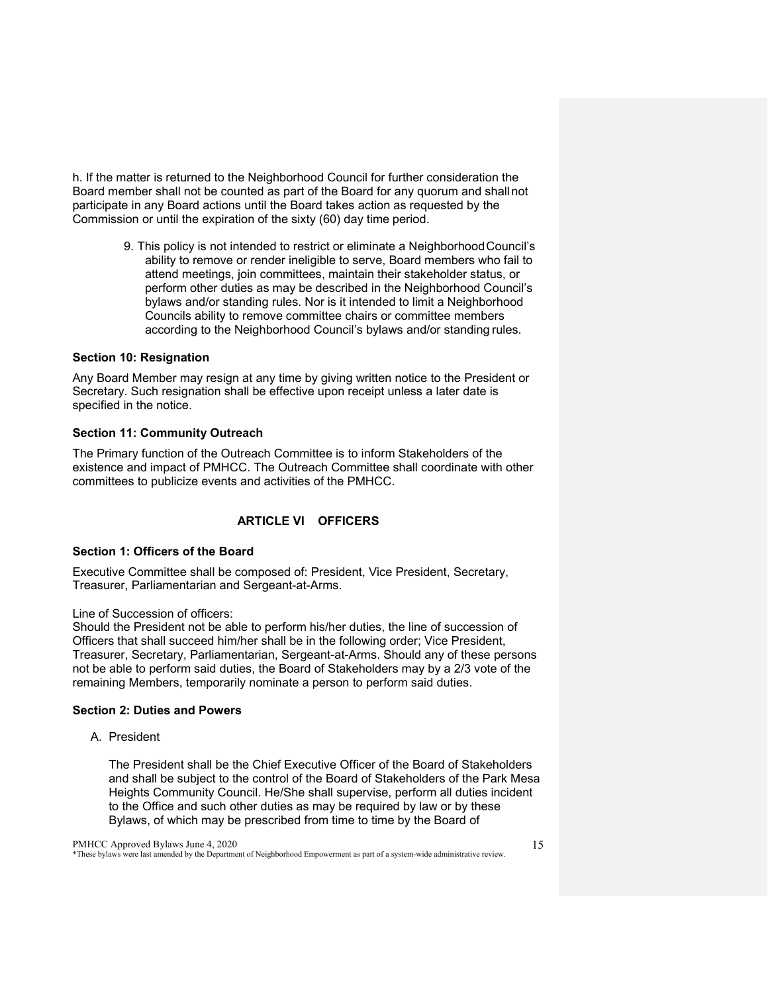h. If the matter is returned to the Neighborhood Council for further consideration the Board member shall not be counted as part of the Board for any quorum and shallnot participate in any Board actions until the Board takes action as requested by the Commission or until the expiration of the sixty (60) day time period.

> 9. This policy is not intended to restrict or eliminate a NeighborhoodCouncil's ability to remove or render ineligible to serve, Board members who fail to attend meetings, join committees, maintain their stakeholder status, or perform other duties as may be described in the Neighborhood Council's bylaws and/or standing rules. Nor is it intended to limit a Neighborhood Councils ability to remove committee chairs or committee members according to the Neighborhood Council's bylaws and/or standing rules.

#### <span id="page-14-0"></span>**Section 10: Resignation**

Any Board Member may resign at any time by giving written notice to the President or Secretary. Such resignation shall be effective upon receipt unless a later date is specified in the notice.

#### <span id="page-14-1"></span>**Section 11: Community Outreach**

The Primary function of the Outreach Committee is to inform Stakeholders of the existence and impact of PMHCC. The Outreach Committee shall coordinate with other committees to publicize events and activities of the PMHCC.

## **ARTICLE VI OFFICERS**

#### <span id="page-14-3"></span><span id="page-14-2"></span>**Section 1: Officers of the Board**

Executive Committee shall be composed of: President, Vice President, Secretary, Treasurer, Parliamentarian and Sergeant-at-Arms.

Line of Succession of officers:

Should the President not be able to perform his/her duties, the line of succession of Officers that shall succeed him/her shall be in the following order; Vice President, Treasurer, Secretary, Parliamentarian, Sergeant-at-Arms. Should any of these persons not be able to perform said duties, the Board of Stakeholders may by a 2/3 vote of the remaining Members, temporarily nominate a person to perform said duties.

#### <span id="page-14-4"></span>**Section 2: Duties and Powers**

A. President

The President shall be the Chief Executive Officer of the Board of Stakeholders and shall be subject to the control of the Board of Stakeholders of the Park Mesa Heights Community Council. He/She shall supervise, perform all duties incident to the Office and such other duties as may be required by law or by these Bylaws, of which may be prescribed from time to time by the Board of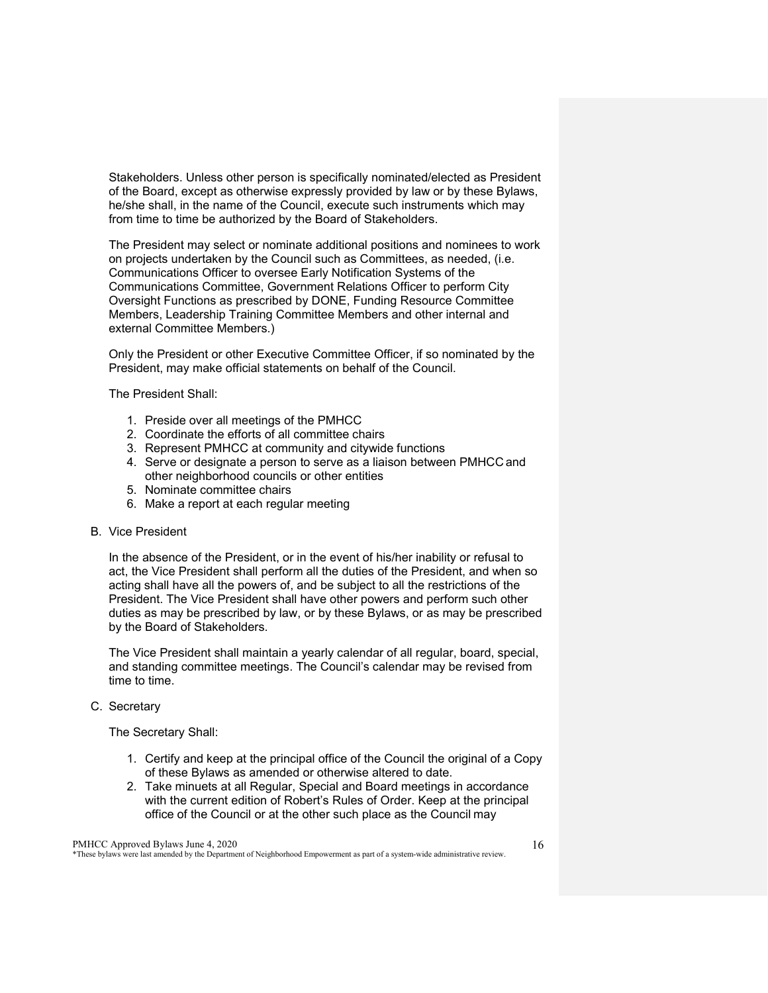Stakeholders. Unless other person is specifically nominated/elected as President of the Board, except as otherwise expressly provided by law or by these Bylaws, he/she shall, in the name of the Council, execute such instruments which may from time to time be authorized by the Board of Stakeholders.

The President may select or nominate additional positions and nominees to work on projects undertaken by the Council such as Committees, as needed, (i.e. Communications Officer to oversee Early Notification Systems of the Communications Committee, Government Relations Officer to perform City Oversight Functions as prescribed by DONE, Funding Resource Committee Members, Leadership Training Committee Members and other internal and external Committee Members.)

Only the President or other Executive Committee Officer, if so nominated by the President, may make official statements on behalf of the Council.

The President Shall:

- 1. Preside over all meetings of the PMHCC
- 2. Coordinate the efforts of all committee chairs
- 3. Represent PMHCC at community and citywide functions
- 4. Serve or designate a person to serve as a liaison between PMHCC and other neighborhood councils or other entities
- 5. Nominate committee chairs
- 6. Make a report at each regular meeting

#### B. Vice President

In the absence of the President, or in the event of his/her inability or refusal to act, the Vice President shall perform all the duties of the President, and when so acting shall have all the powers of, and be subject to all the restrictions of the President. The Vice President shall have other powers and perform such other duties as may be prescribed by law, or by these Bylaws, or as may be prescribed by the Board of Stakeholders.

The Vice President shall maintain a yearly calendar of all regular, board, special, and standing committee meetings. The Council's calendar may be revised from time to time.

#### C. Secretary

The Secretary Shall:

- 1. Certify and keep at the principal office of the Council the original of a Copy of these Bylaws as amended or otherwise altered to date.
- 2. Take minuets at all Regular, Special and Board meetings in accordance with the current edition of Robert's Rules of Order. Keep at the principal office of the Council or at the other such place as the Council may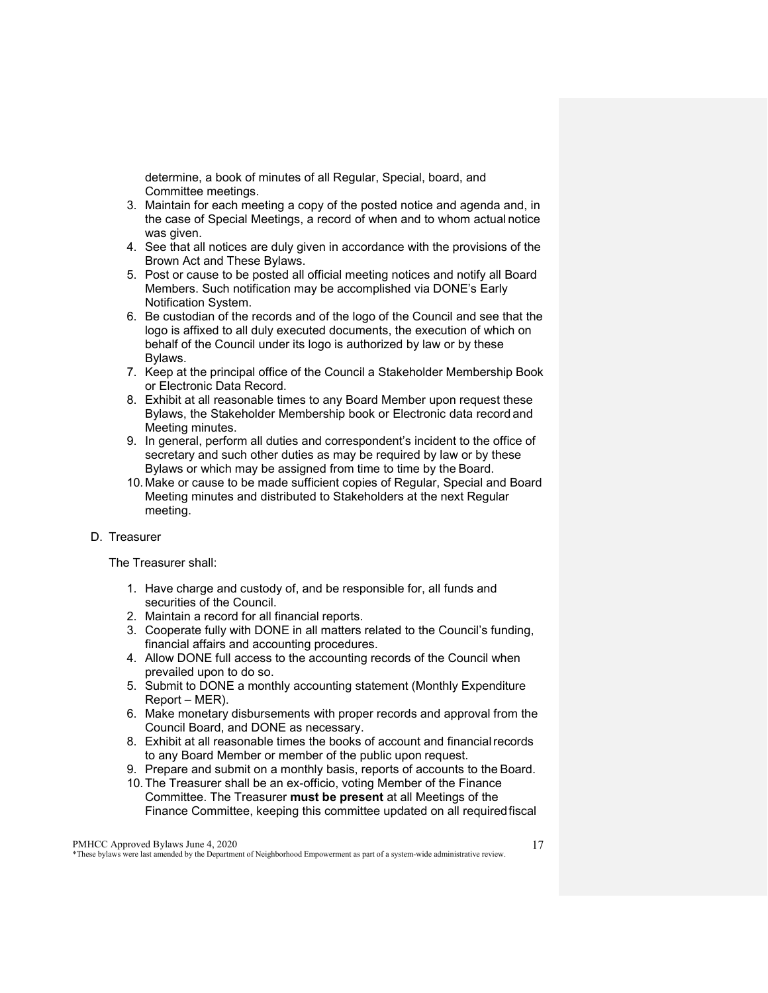determine, a book of minutes of all Regular, Special, board, and Committee meetings.

- 3. Maintain for each meeting a copy of the posted notice and agenda and, in the case of Special Meetings, a record of when and to whom actual notice was given.
- 4. See that all notices are duly given in accordance with the provisions of the Brown Act and These Bylaws.
- 5. Post or cause to be posted all official meeting notices and notify all Board Members. Such notification may be accomplished via DONE's Early Notification System.
- 6. Be custodian of the records and of the logo of the Council and see that the logo is affixed to all duly executed documents, the execution of which on behalf of the Council under its logo is authorized by law or by these Bylaws.
- 7. Keep at the principal office of the Council a Stakeholder Membership Book or Electronic Data Record.
- 8. Exhibit at all reasonable times to any Board Member upon request these Bylaws, the Stakeholder Membership book or Electronic data record and Meeting minutes.
- 9. In general, perform all duties and correspondent's incident to the office of secretary and such other duties as may be required by law or by these Bylaws or which may be assigned from time to time by the Board.
- 10. Make or cause to be made sufficient copies of Regular, Special and Board Meeting minutes and distributed to Stakeholders at the next Regular meeting.

#### D. Treasurer

The Treasurer shall:

- 1. Have charge and custody of, and be responsible for, all funds and securities of the Council.
- 2. Maintain a record for all financial reports.
- 3. Cooperate fully with DONE in all matters related to the Council's funding, financial affairs and accounting procedures.
- 4. Allow DONE full access to the accounting records of the Council when prevailed upon to do so.
- 5. Submit to DONE a monthly accounting statement (Monthly Expenditure Report – MER).
- 6. Make monetary disbursements with proper records and approval from the Council Board, and DONE as necessary.
- 8. Exhibit at all reasonable times the books of account and financial records to any Board Member or member of the public upon request.
- 9. Prepare and submit on a monthly basis, reports of accounts to the Board.
- 10.The Treasurer shall be an ex-officio, voting Member of the Finance Committee. The Treasurer **must be present** at all Meetings of the Finance Committee, keeping this committee updated on all requiredfiscal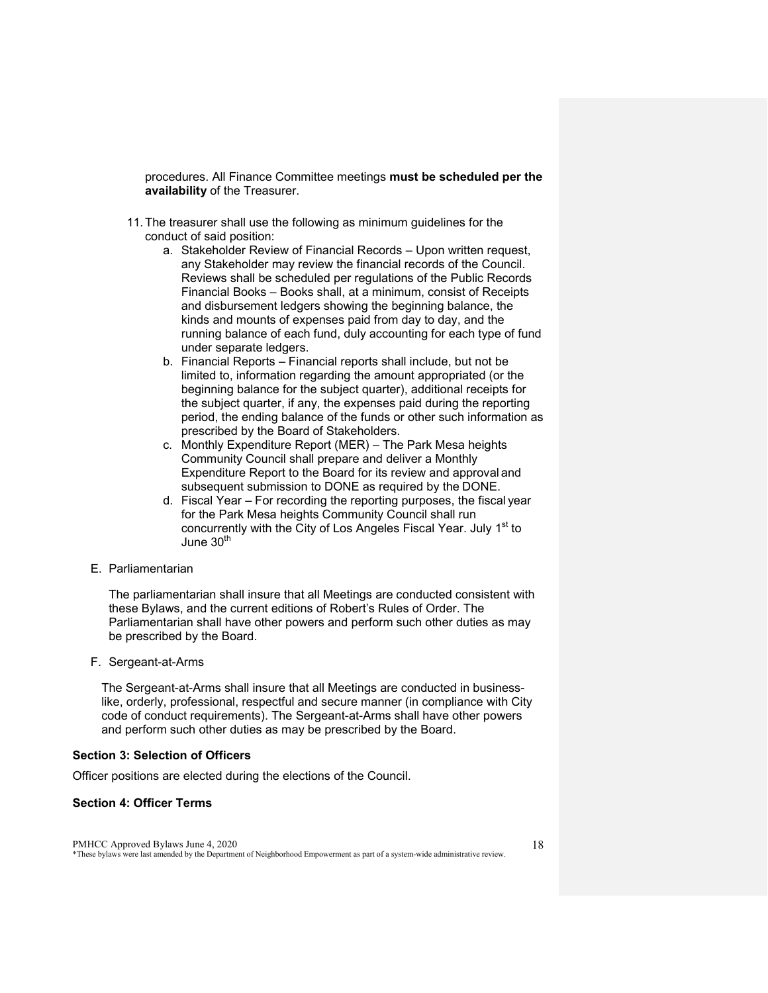procedures. All Finance Committee meetings **must be scheduled per the availability** of the Treasurer.

- 11.The treasurer shall use the following as minimum guidelines for the conduct of said position:
	- a. Stakeholder Review of Financial Records Upon written request, any Stakeholder may review the financial records of the Council. Reviews shall be scheduled per regulations of the Public Records Financial Books – Books shall, at a minimum, consist of Receipts and disbursement ledgers showing the beginning balance, the kinds and mounts of expenses paid from day to day, and the running balance of each fund, duly accounting for each type of fund under separate ledgers.
	- b. Financial Reports Financial reports shall include, but not be limited to, information regarding the amount appropriated (or the beginning balance for the subject quarter), additional receipts for the subject quarter, if any, the expenses paid during the reporting period, the ending balance of the funds or other such information as prescribed by the Board of Stakeholders.
	- c. Monthly Expenditure Report (MER) The Park Mesa heights Community Council shall prepare and deliver a Monthly Expenditure Report to the Board for its review and approval and subsequent submission to DONE as required by the DONE.
	- d. Fiscal Year For recording the reporting purposes, the fiscal year for the Park Mesa heights Community Council shall run concurrently with the City of Los Angeles Fiscal Year. July 1<sup>st</sup> to June 30<sup>th</sup>
- E. Parliamentarian

The parliamentarian shall insure that all Meetings are conducted consistent with these Bylaws, and the current editions of Robert's Rules of Order. The Parliamentarian shall have other powers and perform such other duties as may be prescribed by the Board.

F. Sergeant-at-Arms

The Sergeant-at-Arms shall insure that all Meetings are conducted in businesslike, orderly, professional, respectful and secure manner (in compliance with City code of conduct requirements). The Sergeant-at-Arms shall have other powers and perform such other duties as may be prescribed by the Board.

#### <span id="page-17-0"></span>**Section 3: Selection of Officers**

Officer positions are elected during the elections of the Council.

#### <span id="page-17-1"></span>**Section 4: Officer Terms**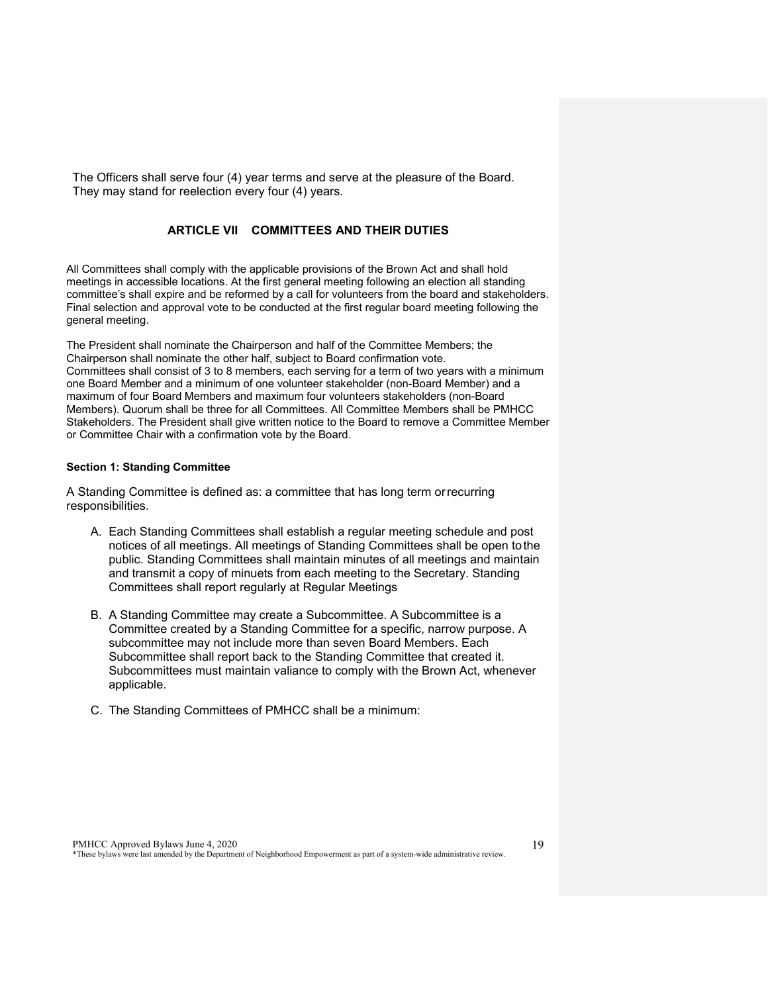<span id="page-18-0"></span>The Officers shall serve four (4) year terms and serve at the pleasure of the Board. They may stand for reelection every four (4) years.

### **ARTICLE VII COMMITTEES AND THEIR DUTIES**

All Committees shall comply with the applicable provisions of the Brown Act and shall hold meetings in accessible locations. At the first general meeting following an election all standing committee's shall expire and be reformed by a call for volunteers from the board and stakeholders. Final selection and approval vote to be conducted at the first regular board meeting following the general meeting.

The President shall nominate the Chairperson and half of the Committee Members; the Chairperson shall nominate the other half, subject to Board confirmation vote. Committees shall consist of 3 to 8 members, each serving for a term of two years with a minimum one Board Member and a minimum of one volunteer stakeholder (non-Board Member) and a maximum of four Board Members and maximum four volunteers stakeholders (non-Board Members). Quorum shall be three for all Committees. All Committee Members shall be PMHCC Stakeholders. The President shall give written notice to the Board to remove a Committee Member or Committee Chair with a confirmation vote by the Board.

#### <span id="page-18-1"></span>**Section 1: Standing Committee**

A Standing Committee is defined as: a committee that has long term orrecurring responsibilities.

- A. Each Standing Committees shall establish a regular meeting schedule and post notices of all meetings. All meetings of Standing Committees shall be open tothe public. Standing Committees shall maintain minutes of all meetings and maintain and transmit a copy of minuets from each meeting to the Secretary. Standing Committees shall report regularly at Regular Meetings
- B. A Standing Committee may create a Subcommittee. A Subcommittee is a Committee created by a Standing Committee for a specific, narrow purpose. A subcommittee may not include more than seven Board Members. Each Subcommittee shall report back to the Standing Committee that created it. Subcommittees must maintain valiance to comply with the Brown Act, whenever applicable.
- C. The Standing Committees of PMHCC shall be a minimum: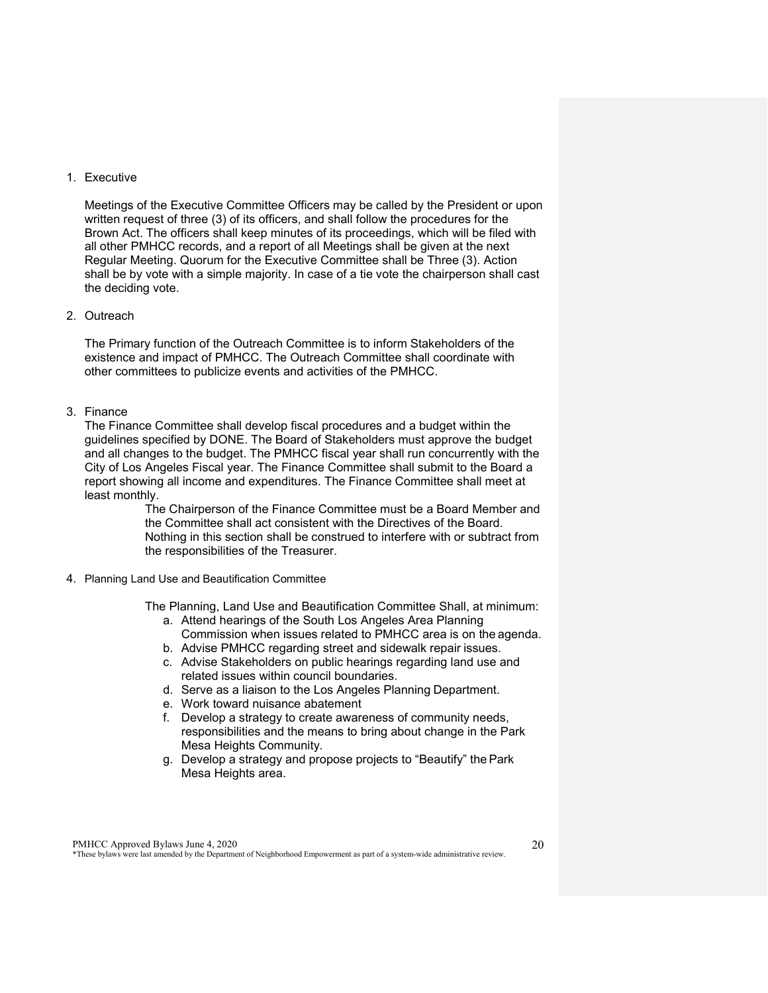#### 1. Executive

Meetings of the Executive Committee Officers may be called by the President or upon written request of three (3) of its officers, and shall follow the procedures for the Brown Act. The officers shall keep minutes of its proceedings, which will be filed with all other PMHCC records, and a report of all Meetings shall be given at the next Regular Meeting. Quorum for the Executive Committee shall be Three (3). Action shall be by vote with a simple majority. In case of a tie vote the chairperson shall cast the deciding vote.

#### 2. Outreach

The Primary function of the Outreach Committee is to inform Stakeholders of the existence and impact of PMHCC. The Outreach Committee shall coordinate with other committees to publicize events and activities of the PMHCC.

#### 3. Finance

The Finance Committee shall develop fiscal procedures and a budget within the guidelines specified by DONE. The Board of Stakeholders must approve the budget and all changes to the budget. The PMHCC fiscal year shall run concurrently with the City of Los Angeles Fiscal year. The Finance Committee shall submit to the Board a report showing all income and expenditures. The Finance Committee shall meet at least monthly.

> The Chairperson of the Finance Committee must be a Board Member and the Committee shall act consistent with the Directives of the Board. Nothing in this section shall be construed to interfere with or subtract from the responsibilities of the Treasurer.

4. Planning Land Use and Beautification Committee

The Planning, Land Use and Beautification Committee Shall, at minimum:

- a. Attend hearings of the South Los Angeles Area Planning Commission when issues related to PMHCC area is on the agenda.
- b. Advise PMHCC regarding street and sidewalk repair issues.
- c. Advise Stakeholders on public hearings regarding land use and related issues within council boundaries.
- d. Serve as a liaison to the Los Angeles Planning Department.
- e. Work toward nuisance abatement
- f. Develop a strategy to create awareness of community needs, responsibilities and the means to bring about change in the Park Mesa Heights Community.
- g. Develop a strategy and propose projects to "Beautify" the Park Mesa Heights area.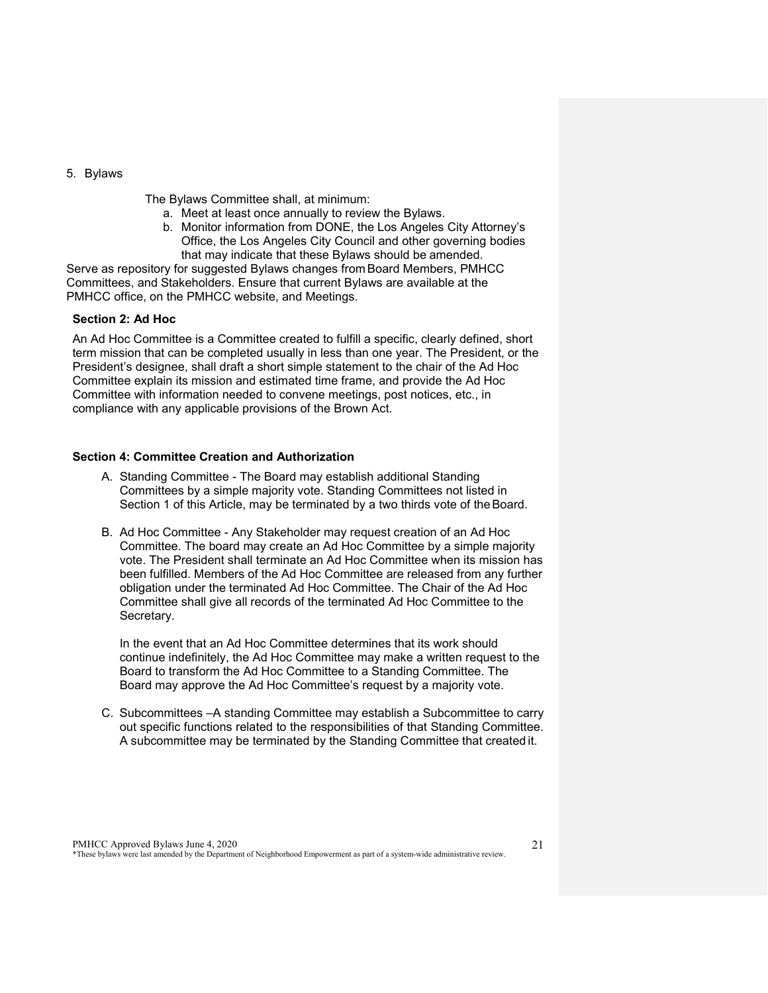5. Bylaws

The Bylaws Committee shall, at minimum:

- a. Meet at least once annually to review the Bylaws.
- <span id="page-20-0"></span>b. Monitor information from DONE, the Los Angeles City Attorney's Office, the Los Angeles City Council and other governing bodies that may indicate that these Bylaws should be amended.

Serve as repository for suggested Bylaws changes from Board Members, PMHCC Committees, and Stakeholders. Ensure that current Bylaws are available at the PMHCC office, on the PMHCC website, and Meetings.

#### **Section 2: Ad Hoc**

An Ad Hoc Committee is a Committee created to fulfill a specific, clearly defined, short term mission that can be completed usually in less than one year. The President, or the President's designee, shall draft a short simple statement to the chair of the Ad Hoc Committee explain its mission and estimated time frame, and provide the Ad Hoc Committee with information needed to convene meetings, post notices, etc., in compliance with any applicable provisions of the Brown Act.

#### <span id="page-20-1"></span>**Section 4: Committee Creation and Authorization**

- A. Standing Committee The Board may establish additional Standing Committees by a simple majority vote. Standing Committees not listed in Section 1 of this Article, may be terminated by a two thirds vote of the Board.
- B. Ad Hoc Committee Any Stakeholder may request creation of an Ad Hoc Committee. The board may create an Ad Hoc Committee by a simple majority vote. The President shall terminate an Ad Hoc Committee when its mission has been fulfilled. Members of the Ad Hoc Committee are released from any further obligation under the terminated Ad Hoc Committee. The Chair of the Ad Hoc Committee shall give all records of the terminated Ad Hoc Committee to the Secretary.

In the event that an Ad Hoc Committee determines that its work should continue indefinitely, the Ad Hoc Committee may make a written request to the Board to transform the Ad Hoc Committee to a Standing Committee. The Board may approve the Ad Hoc Committee's request by a majority vote.

C. Subcommittees –A standing Committee may establish a Subcommittee to carry out specific functions related to the responsibilities of that Standing Committee. A subcommittee may be terminated by the Standing Committee that created it.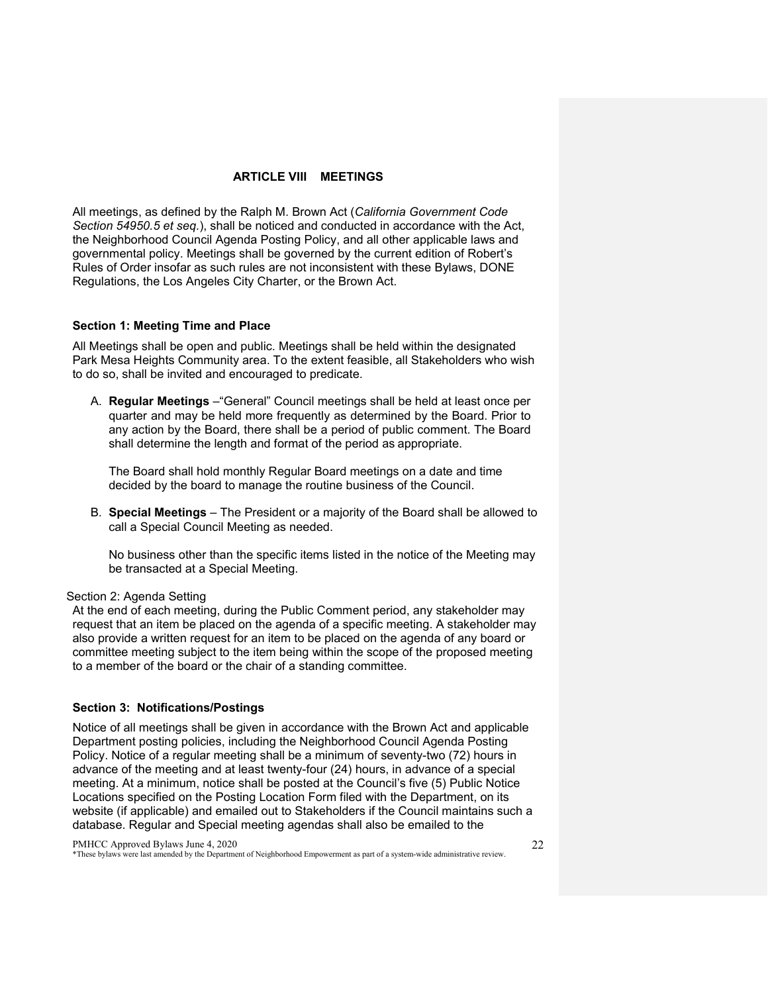#### **ARTICLE VIII MEETINGS**

<span id="page-21-0"></span>All meetings, as defined by the Ralph M. Brown Act (*California Government Code Section 54950.5 et seq.*), shall be noticed and conducted in accordance with the Act, the Neighborhood Council Agenda Posting Policy, and all other applicable laws and governmental policy. Meetings shall be governed by the current edition of Robert's Rules of Order insofar as such rules are not inconsistent with these Bylaws, DONE Regulations, the Los Angeles City Charter, or the Brown Act.

#### <span id="page-21-1"></span>**Section 1: Meeting Time and Place**

All Meetings shall be open and public. Meetings shall be held within the designated Park Mesa Heights Community area. To the extent feasible, all Stakeholders who wish to do so, shall be invited and encouraged to predicate.

A. **Regular Meetings** –"General" Council meetings shall be held at least once per quarter and may be held more frequently as determined by the Board. Prior to any action by the Board, there shall be a period of public comment. The Board shall determine the length and format of the period as appropriate.

The Board shall hold monthly Regular Board meetings on a date and time decided by the board to manage the routine business of the Council.

B. **Special Meetings** – The President or a majority of the Board shall be allowed to call a Special Council Meeting as needed.

No business other than the specific items listed in the notice of the Meeting may be transacted at a Special Meeting.

#### <span id="page-21-2"></span>Section 2: Agenda Setting

At the end of each meeting, during the Public Comment period, any stakeholder may request that an item be placed on the agenda of a specific meeting. A stakeholder may also provide a written request for an item to be placed on the agenda of any board or committee meeting subject to the item being within the scope of the proposed meeting to a member of the board or the chair of a standing committee.

#### <span id="page-21-3"></span>**Section 3: Notifications/Postings**

Notice of all meetings shall be given in accordance with the Brown Act and applicable Department posting policies, including the Neighborhood Council Agenda Posting Policy. Notice of a regular meeting shall be a minimum of seventy-two (72) hours in advance of the meeting and at least twenty-four (24) hours, in advance of a special meeting. At a minimum, notice shall be posted at the Council's five (5) Public Notice Locations specified on the Posting Location Form filed with the Department, on its website (if applicable) and emailed out to Stakeholders if the Council maintains such a database. Regular and Special meeting agendas shall also be emailed to the

PMHCC Approved Bylaws June 4, 2020 \*These bylaws were last amended by the Department of Neighborhood Empowerment as part of a system-wide administrative review.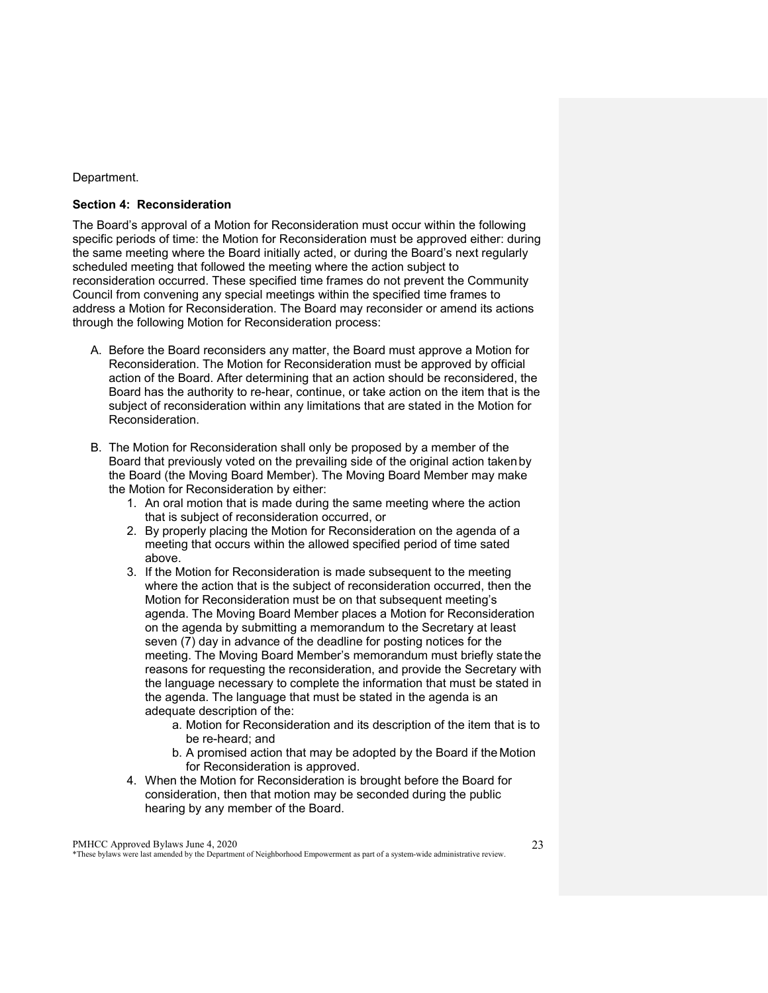#### Department.

#### <span id="page-22-0"></span>**Section 4: Reconsideration**

The Board's approval of a Motion for Reconsideration must occur within the following specific periods of time: the Motion for Reconsideration must be approved either: during the same meeting where the Board initially acted, or during the Board's next regularly scheduled meeting that followed the meeting where the action subject to reconsideration occurred. These specified time frames do not prevent the Community Council from convening any special meetings within the specified time frames to address a Motion for Reconsideration. The Board may reconsider or amend its actions through the following Motion for Reconsideration process:

- A. Before the Board reconsiders any matter, the Board must approve a Motion for Reconsideration. The Motion for Reconsideration must be approved by official action of the Board. After determining that an action should be reconsidered, the Board has the authority to re-hear, continue, or take action on the item that is the subject of reconsideration within any limitations that are stated in the Motion for Reconsideration.
- B. The Motion for Reconsideration shall only be proposed by a member of the Board that previously voted on the prevailing side of the original action takenby the Board (the Moving Board Member). The Moving Board Member may make the Motion for Reconsideration by either:
	- 1. An oral motion that is made during the same meeting where the action that is subject of reconsideration occurred, or
	- 2. By properly placing the Motion for Reconsideration on the agenda of a meeting that occurs within the allowed specified period of time sated above.
	- 3. If the Motion for Reconsideration is made subsequent to the meeting where the action that is the subject of reconsideration occurred, then the Motion for Reconsideration must be on that subsequent meeting's agenda. The Moving Board Member places a Motion for Reconsideration on the agenda by submitting a memorandum to the Secretary at least seven (7) day in advance of the deadline for posting notices for the meeting. The Moving Board Member's memorandum must briefly state the reasons for requesting the reconsideration, and provide the Secretary with the language necessary to complete the information that must be stated in the agenda. The language that must be stated in the agenda is an adequate description of the:
		- a. Motion for Reconsideration and its description of the item that is to be re-heard; and
		- b. A promised action that may be adopted by the Board if the Motion for Reconsideration is approved.
	- 4. When the Motion for Reconsideration is brought before the Board for consideration, then that motion may be seconded during the public hearing by any member of the Board.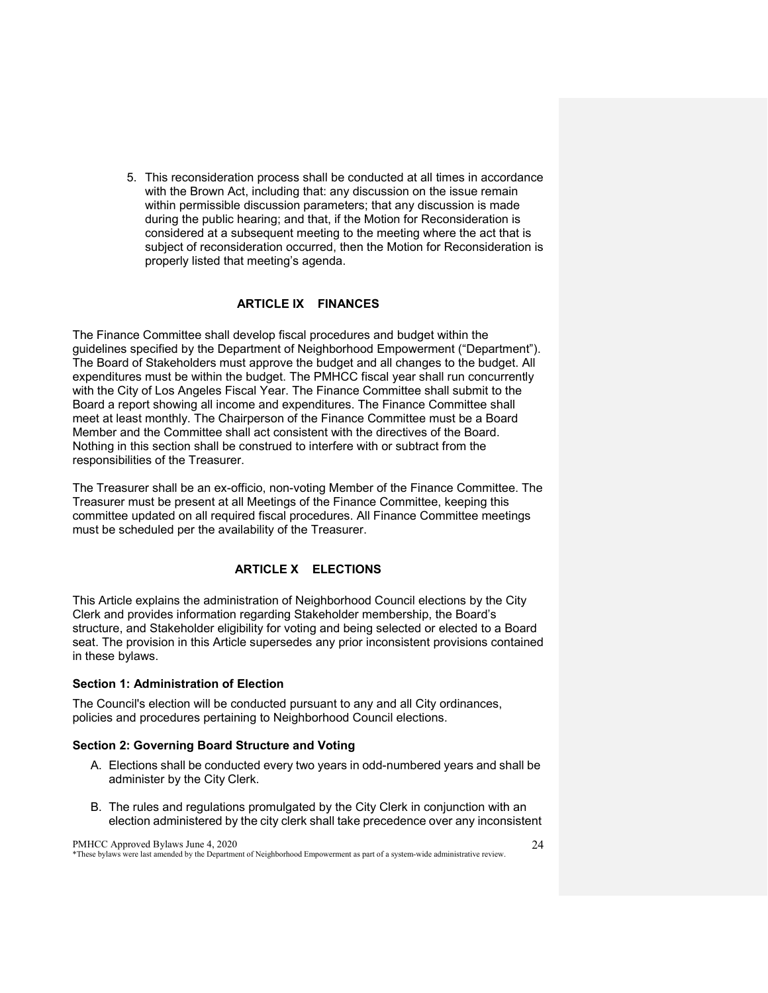5. This reconsideration process shall be conducted at all times in accordance with the Brown Act, including that: any discussion on the issue remain within permissible discussion parameters; that any discussion is made during the public hearing; and that, if the Motion for Reconsideration is considered at a subsequent meeting to the meeting where the act that is subject of reconsideration occurred, then the Motion for Reconsideration is properly listed that meeting's agenda.

#### **ARTICLE IX FINANCES**

<span id="page-23-0"></span>The Finance Committee shall develop fiscal procedures and budget within the guidelines specified by the Department of Neighborhood Empowerment ("Department"). The Board of Stakeholders must approve the budget and all changes to the budget. All expenditures must be within the budget. The PMHCC fiscal year shall run concurrently with the City of Los Angeles Fiscal Year. The Finance Committee shall submit to the Board a report showing all income and expenditures. The Finance Committee shall meet at least monthly. The Chairperson of the Finance Committee must be a Board Member and the Committee shall act consistent with the directives of the Board. Nothing in this section shall be construed to interfere with or subtract from the responsibilities of the Treasurer.

The Treasurer shall be an ex-officio, non-voting Member of the Finance Committee. The Treasurer must be present at all Meetings of the Finance Committee, keeping this committee updated on all required fiscal procedures. All Finance Committee meetings must be scheduled per the availability of the Treasurer.

### <span id="page-23-1"></span>**ARTICLE X ELECTIONS**

This Article explains the administration of Neighborhood Council elections by the City Clerk and provides information regarding Stakeholder membership, the Board's structure, and Stakeholder eligibility for voting and being selected or elected to a Board seat. The provision in this Article supersedes any prior inconsistent provisions contained in these bylaws.

#### <span id="page-23-2"></span>**Section 1: Administration of Election**

The Council's election will be conducted pursuant to any and all City ordinances, policies and procedures pertaining to Neighborhood Council elections.

#### <span id="page-23-3"></span>**Section 2: Governing Board Structure and Voting**

- A. Elections shall be conducted every two years in odd-numbered years and shall be administer by the City Clerk.
- B. The rules and regulations promulgated by the City Clerk in conjunction with an election administered by the city clerk shall take precedence over any inconsistent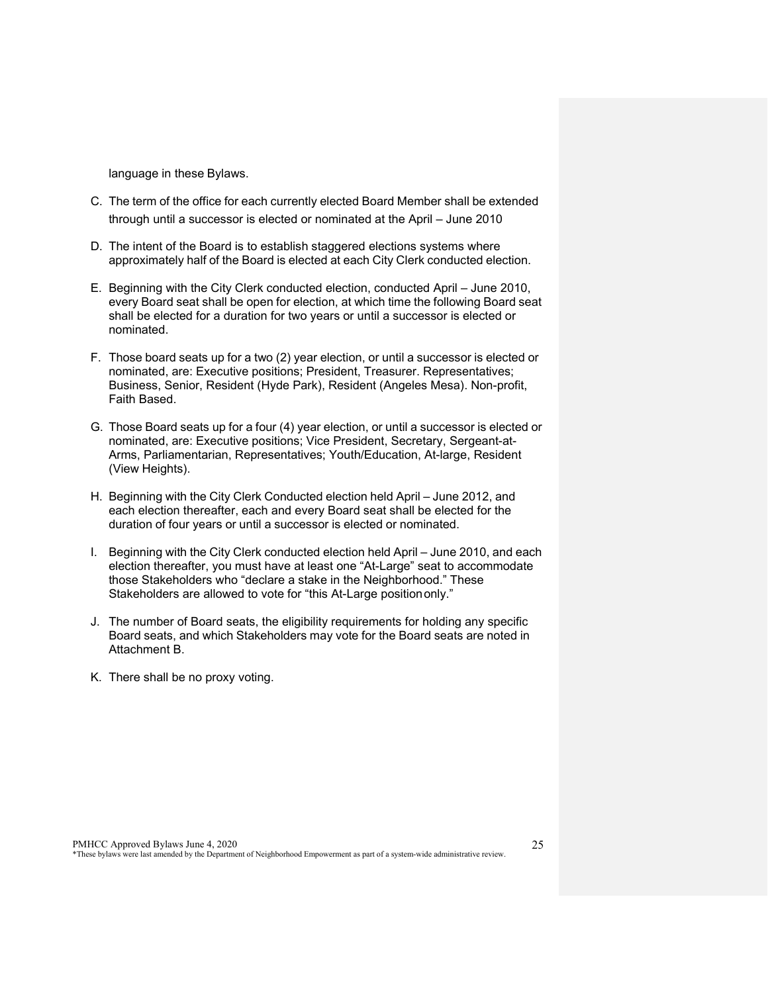language in these Bylaws.

- C. The term of the office for each currently elected Board Member shall be extended through until a successor is elected or nominated at the April – June 2010
- D. The intent of the Board is to establish staggered elections systems where approximately half of the Board is elected at each City Clerk conducted election.
- E. Beginning with the City Clerk conducted election, conducted April June 2010, every Board seat shall be open for election, at which time the following Board seat shall be elected for a duration for two years or until a successor is elected or nominated.
- F. Those board seats up for a two (2) year election, or until a successor is elected or nominated, are: Executive positions; President, Treasurer. Representatives; Business, Senior, Resident (Hyde Park), Resident (Angeles Mesa). Non-profit, Faith Based.
- G. Those Board seats up for a four (4) year election, or until a successor is elected or nominated, are: Executive positions; Vice President, Secretary, Sergeant-at-Arms, Parliamentarian, Representatives; Youth/Education, At-large, Resident (View Heights).
- H. Beginning with the City Clerk Conducted election held April June 2012, and each election thereafter, each and every Board seat shall be elected for the duration of four years or until a successor is elected or nominated.
- I. Beginning with the City Clerk conducted election held April June 2010, and each election thereafter, you must have at least one "At-Large" seat to accommodate those Stakeholders who "declare a stake in the Neighborhood." These Stakeholders are allowed to vote for "this At-Large positiononly."
- J. The number of Board seats, the eligibility requirements for holding any specific Board seats, and which Stakeholders may vote for the Board seats are noted in Attachment B.
- K. There shall be no proxy voting.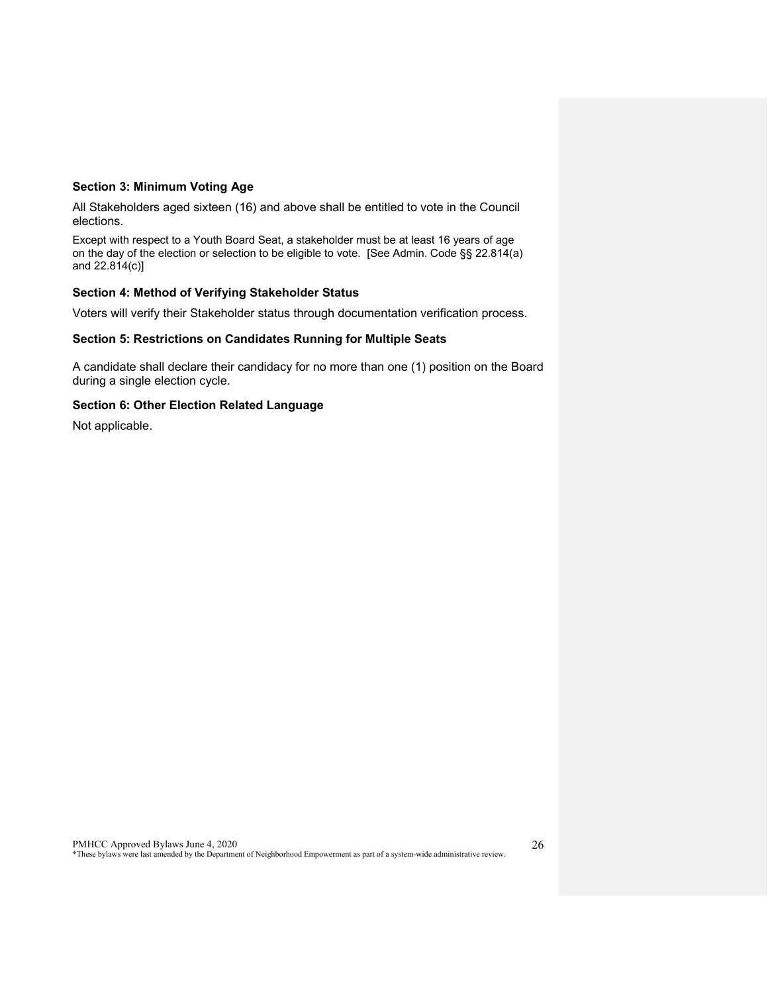## <span id="page-25-0"></span>**Section 3: Minimum Voting Age**

All Stakeholders aged sixteen (16) and above shall be entitled to vote in the Council elections.

Except with respect to a Youth Board Seat, a stakeholder must be at least 16 years of age on the day of the election or selection to be eligible to vote. [See Admin. Code §§ 22.814(a) and 22.814(c)]

#### <span id="page-25-1"></span>**Section 4: Method of Verifying Stakeholder Status**

Voters will verify their Stakeholder status through documentation verification process.

## <span id="page-25-2"></span>**Section 5: Restrictions on Candidates Running for Multiple Seats**

A candidate shall declare their candidacy for no more than one (1) position on the Board during a single election cycle.

#### **Section 6: Other Election Related Language**

Not applicable.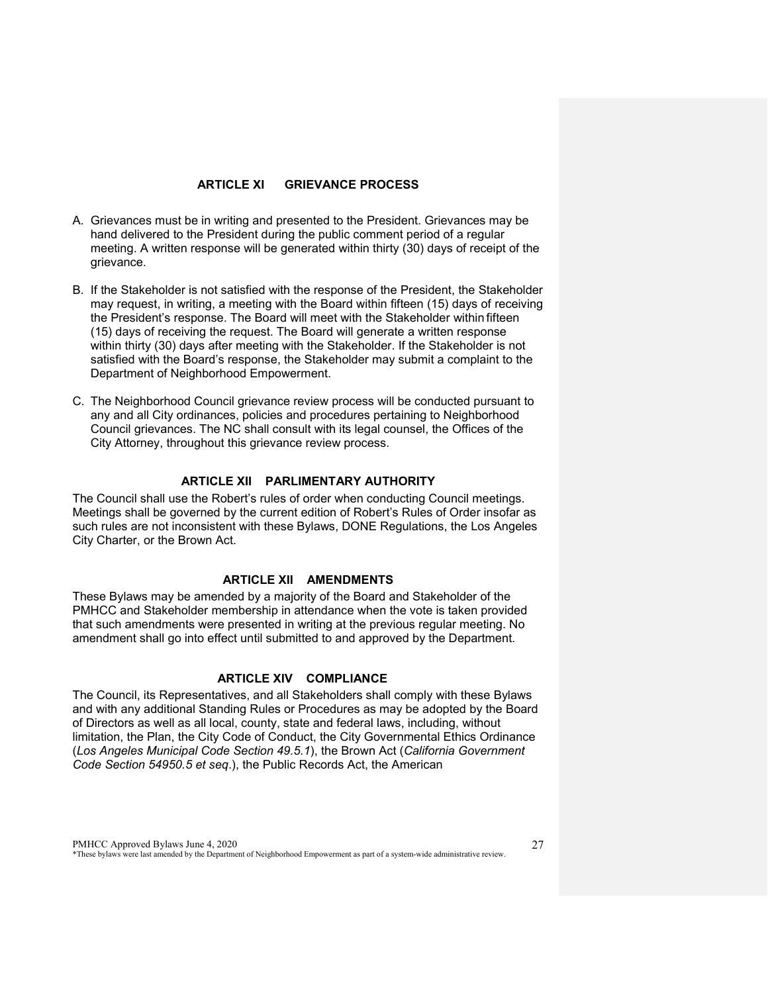#### **ARTICLE XI GRIEVANCE PROCESS**

- <span id="page-26-0"></span>A. Grievances must be in writing and presented to the President. Grievances may be hand delivered to the President during the public comment period of a regular meeting. A written response will be generated within thirty (30) days of receipt of the grievance.
- B. If the Stakeholder is not satisfied with the response of the President, the Stakeholder may request, in writing, a meeting with the Board within fifteen (15) days of receiving the President's response. The Board will meet with the Stakeholder within fifteen (15) days of receiving the request. The Board will generate a written response within thirty (30) days after meeting with the Stakeholder. If the Stakeholder is not satisfied with the Board's response, the Stakeholder may submit a complaint to the Department of Neighborhood Empowerment.
- C. The Neighborhood Council grievance review process will be conducted pursuant to any and all City ordinances, policies and procedures pertaining to Neighborhood Council grievances. The NC shall consult with its legal counsel, the Offices of the City Attorney, throughout this grievance review process.

#### **ARTICLE XII PARLIMENTARY AUTHORITY**

<span id="page-26-1"></span>The Council shall use the Robert's rules of order when conducting Council meetings. Meetings shall be governed by the current edition of Robert's Rules of Order insofar as such rules are not inconsistent with these Bylaws, DONE Regulations, the Los Angeles City Charter, or the Brown Act.

## **ARTICLE XII AMENDMENTS**

<span id="page-26-2"></span>These Bylaws may be amended by a majority of the Board and Stakeholder of the PMHCC and Stakeholder membership in attendance when the vote is taken provided that such amendments were presented in writing at the previous regular meeting. No amendment shall go into effect until submitted to and approved by the Department.

## **ARTICLE XIV COMPLIANCE**

<span id="page-26-3"></span>The Council, its Representatives, and all Stakeholders shall comply with these Bylaws and with any additional Standing Rules or Procedures as may be adopted by the Board of Directors as well as all local, county, state and federal laws, including, without limitation, the Plan, the City Code of Conduct, the City Governmental Ethics Ordinance (*Los Angeles Municipal Code Section 49.5.1*), the Brown Act (*California Government Code Section 54950.5 et seq*.), the Public Records Act, the American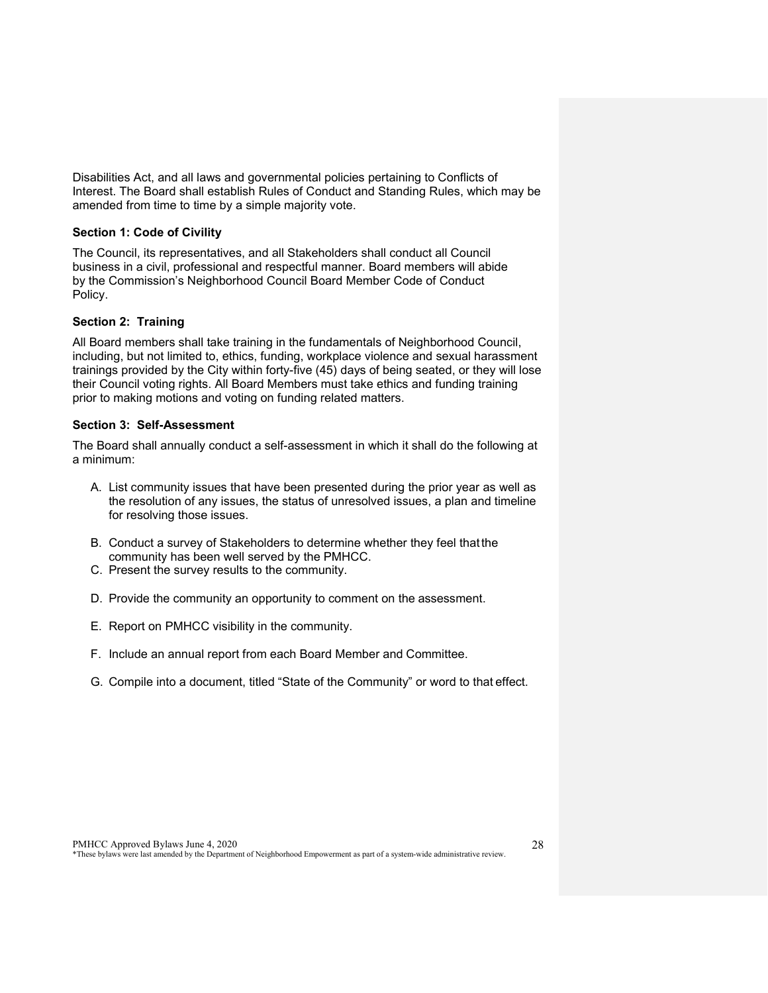Disabilities Act, and all laws and governmental policies pertaining to Conflicts of Interest. The Board shall establish Rules of Conduct and Standing Rules, which may be amended from time to time by a simple majority vote.

#### <span id="page-27-0"></span>**Section 1: Code of Civility**

The Council, its representatives, and all Stakeholders shall conduct all Council business in a civil, professional and respectful manner. Board members will abide by the Commission's Neighborhood Council Board Member Code of Conduct Policy.

## <span id="page-27-1"></span>**Section 2: Training**

All Board members shall take training in the fundamentals of Neighborhood Council, including, but not limited to, ethics, funding, workplace violence and sexual harassment trainings provided by the City within forty-five (45) days of being seated, or they will lose their Council voting rights. All Board Members must take ethics and funding training prior to making motions and voting on funding related matters.

#### <span id="page-27-2"></span>**Section 3: Self-Assessment**

The Board shall annually conduct a self-assessment in which it shall do the following at a minimum:

- A. List community issues that have been presented during the prior year as well as the resolution of any issues, the status of unresolved issues, a plan and timeline for resolving those issues.
- B. Conduct a survey of Stakeholders to determine whether they feel that the community has been well served by the PMHCC.
- C. Present the survey results to the community.
- D. Provide the community an opportunity to comment on the assessment.
- E. Report on PMHCC visibility in the community.
- F. Include an annual report from each Board Member and Committee.
- G. Compile into a document, titled "State of the Community" or word to that effect.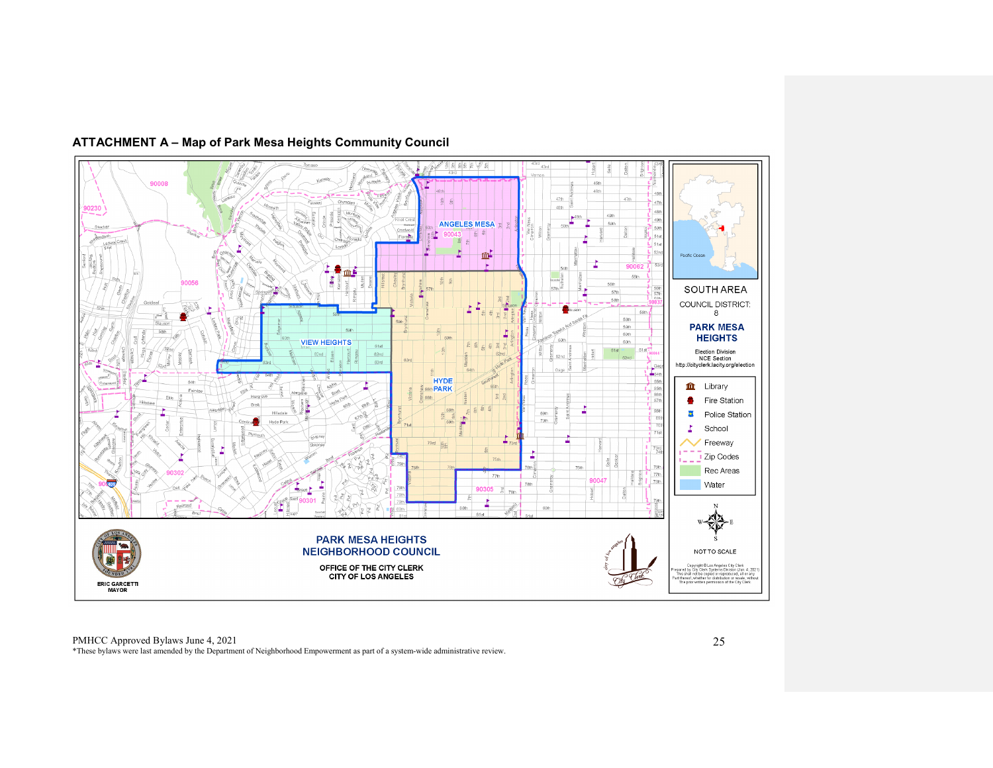<span id="page-28-0"></span>

## **ATTACHMENT A – Map of Park Mesa Heights Community Council**

PMHCC Approved Bylaws June 4, 2021 \*These bylaws were last amended by the Department of Neighborhood Empowerment as part of a system-wide administrative review.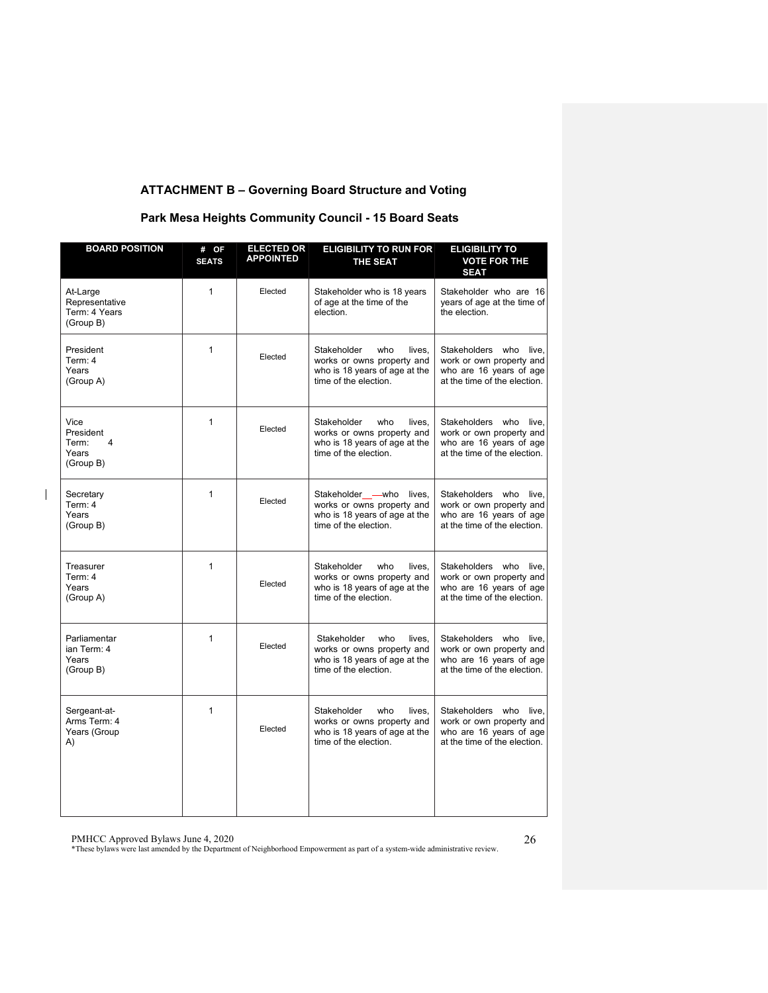## **ATTACHMENT B – Governing Board Structure and Voting**

## **Park Mesa Heights Community Council - 15 Board Seats**

| <b>BOARD POSITION</b>                                              | # OF<br><b>SEATS</b> | <b>ELECTED OR</b><br><b>APPOINTED</b> | <b>ELIGIBILITY TO RUN FOR</b><br><b>THE SEAT</b>                                                                     | <b>ELIGIBILITY TO</b><br><b>VOTE FOR THE</b><br><b>SEAT</b>                                                      |
|--------------------------------------------------------------------|----------------------|---------------------------------------|----------------------------------------------------------------------------------------------------------------------|------------------------------------------------------------------------------------------------------------------|
| At-Large<br>Representative<br>Term: 4 Years<br>(Group B)           | $\mathbf{1}$         | Elected                               | Stakeholder who is 18 years<br>of age at the time of the<br>election.                                                | Stakeholder who are 16<br>years of age at the time of<br>the election.                                           |
| President<br>Term: 4<br>Years<br>(Group A)                         | $\mathbf{1}$         | Elected                               | Stakeholder<br>who<br>lives.<br>works or owns property and<br>who is 18 years of age at the<br>time of the election. | Stakeholders who<br>live.<br>work or own property and<br>who are 16 years of age<br>at the time of the election. |
| Vice<br>President<br>Term:<br>$\overline{4}$<br>Years<br>(Group B) | 1                    | Elected                               | Stakeholder<br>who<br>lives.<br>works or owns property and<br>who is 18 years of age at the<br>time of the election. | Stakeholders who<br>live.<br>work or own property and<br>who are 16 years of age<br>at the time of the election. |
| Secretary<br>Term: 4<br>Years<br>(Group B)                         | 1                    | Elected                               | Stakeholder - who lives,<br>works or owns property and<br>who is 18 years of age at the<br>time of the election.     | Stakeholders who live.<br>work or own property and<br>who are 16 years of age<br>at the time of the election.    |
| Treasurer<br>Term: 4<br>Years<br>(Group A)                         | $\mathbf{1}$         | Elected                               | who<br>Stakeholder<br>lives.<br>works or owns property and<br>who is 18 years of age at the<br>time of the election. | Stakeholders who<br>live.<br>work or own property and<br>who are 16 years of age<br>at the time of the election. |
| Parliamentar<br>ian Term: 4<br>Years<br>(Group B)                  | 1                    | Elected                               | Stakeholder<br>who<br>lives,<br>works or owns property and<br>who is 18 years of age at the<br>time of the election. | Stakeholders who<br>live,<br>work or own property and<br>who are 16 years of age<br>at the time of the election. |
| Sergeant-at-<br>Arms Term: 4<br>Years (Group<br>A)                 | $\mathbf{1}$         | Elected                               | Stakeholder<br>who<br>lives,<br>works or owns property and<br>who is 18 years of age at the<br>time of the election. | Stakeholders who live,<br>work or own property and<br>who are 16 years of age<br>at the time of the election.    |

 $\mathbf I$ 

PMHCC Approved Bylaws June 4, 2020 \*These bylaws were last amended by the Department of Neighborhood Empowerment as part of a system-wide administrative review.

26